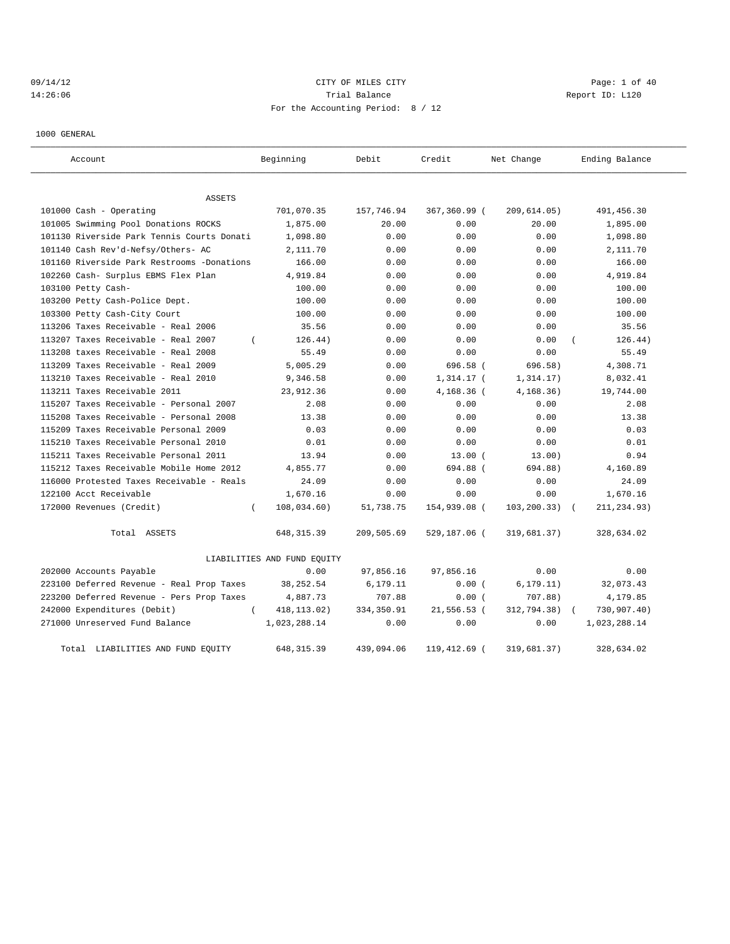## 09/14/12 Page: 1 of 40 14:26:06 Report ID: L120 For the Accounting Period: 8 / 12

1000 GENERAL

| Account                                    | Beginning                   | Debit      | Credit       | Net Change   | Ending Balance |
|--------------------------------------------|-----------------------------|------------|--------------|--------------|----------------|
| <b>ASSETS</b>                              |                             |            |              |              |                |
| 101000 Cash - Operating                    | 701,070.35                  | 157,746.94 | 367,360.99 ( | 209,614.05)  | 491, 456.30    |
| 101005 Swimming Pool Donations ROCKS       | 1,875.00                    | 20.00      | 0.00         | 20.00        | 1,895.00       |
| 101130 Riverside Park Tennis Courts Donati | 1,098.80                    | 0.00       | 0.00         | 0.00         | 1,098.80       |
| 101140 Cash Rev'd-Nefsy/Others- AC         | 2,111.70                    | 0.00       | 0.00         | 0.00         | 2,111.70       |
| 101160 Riverside Park Restrooms -Donations | 166.00                      | 0.00       | 0.00         | 0.00         | 166.00         |
| 102260 Cash- Surplus EBMS Flex Plan        | 4,919.84                    | 0.00       | 0.00         | 0.00         | 4,919.84       |
| 103100 Petty Cash-                         | 100.00                      | 0.00       | 0.00         | 0.00         | 100.00         |
| 103200 Petty Cash-Police Dept.             | 100.00                      | 0.00       | 0.00         | 0.00         | 100.00         |
| 103300 Petty Cash-City Court               | 100.00                      | 0.00       | 0.00         | 0.00         | 100.00         |
| 113206 Taxes Receivable - Real 2006        | 35.56                       | 0.00       | 0.00         | 0.00         | 35.56          |
| 113207 Taxes Receivable - Real 2007        | 126.44)<br>$\overline{ }$   | 0.00       | 0.00         | 0.00         | 126.44)        |
| 113208 taxes Receivable - Real 2008        | 55.49                       | 0.00       | 0.00         | 0.00         | 55.49          |
| 113209 Taxes Receivable - Real 2009        | 5,005.29                    | 0.00       | 696.58 (     | 696.58)      | 4,308.71       |
| 113210 Taxes Receivable - Real 2010        | 9,346.58                    | 0.00       | 1,314.17 (   | 1, 314.17)   | 8,032.41       |
| 113211 Taxes Receivable 2011               | 23,912.36                   | 0.00       | 4,168.36 (   | 4, 168.36)   | 19,744.00      |
| 115207 Taxes Receivable - Personal 2007    | 2.08                        | 0.00       | 0.00         | 0.00         | 2.08           |
| 115208 Taxes Receivable - Personal 2008    | 13.38                       | 0.00       | 0.00         | 0.00         | 13.38          |
| 115209 Taxes Receivable Personal 2009      | 0.03                        | 0.00       | 0.00         | 0.00         | 0.03           |
| 115210 Taxes Receivable Personal 2010      | 0.01                        | 0.00       | 0.00         | 0.00         | 0.01           |
| 115211 Taxes Receivable Personal 2011      | 13.94                       | 0.00       | $13.00$ (    | 13.00)       | 0.94           |
| 115212 Taxes Receivable Mobile Home 2012   | 4,855.77                    | 0.00       | 694.88 (     | 694.88)      | 4,160.89       |
| 116000 Protested Taxes Receivable - Reals  | 24.09                       | 0.00       | 0.00         | 0.00         | 24.09          |
| 122100 Acct Receivable                     | 1,670.16                    | 0.00       | 0.00         | 0.00         | 1,670.16       |
| 172000 Revenues (Credit)                   | 108,034.60)<br>$\left($     | 51,738.75  | 154,939.08 ( | 103, 200.33) | 211,234.93)    |
| Total ASSETS                               | 648, 315.39                 | 209,505.69 | 529,187.06 ( | 319,681.37)  | 328,634.02     |
|                                            | LIABILITIES AND FUND EQUITY |            |              |              |                |
| 202000 Accounts Payable                    | 0.00                        | 97,856.16  | 97,856.16    | 0.00         | 0.00           |
| 223100 Deferred Revenue - Real Prop Taxes  | 38, 252.54                  | 6,179.11   | 0.00(        | 6, 179.11)   | 32,073.43      |
| 223200 Deferred Revenue - Pers Prop Taxes  | 4,887.73                    | 707.88     | 0.00(        | 707.88)      | 4,179.85       |
| 242000 Expenditures (Debit)                | 418, 113.02)<br>$\left($    | 334,350.91 | 21,556.53 (  | 312,794.38)  | 730,907.40)    |
| 271000 Unreserved Fund Balance             | 1,023,288.14                | 0.00       | 0.00         | 0.00         | 1,023,288.14   |
| Total LIABILITIES AND FUND EQUITY          | 648, 315.39                 | 439,094.06 | 119,412.69 ( | 319,681.37)  | 328,634.02     |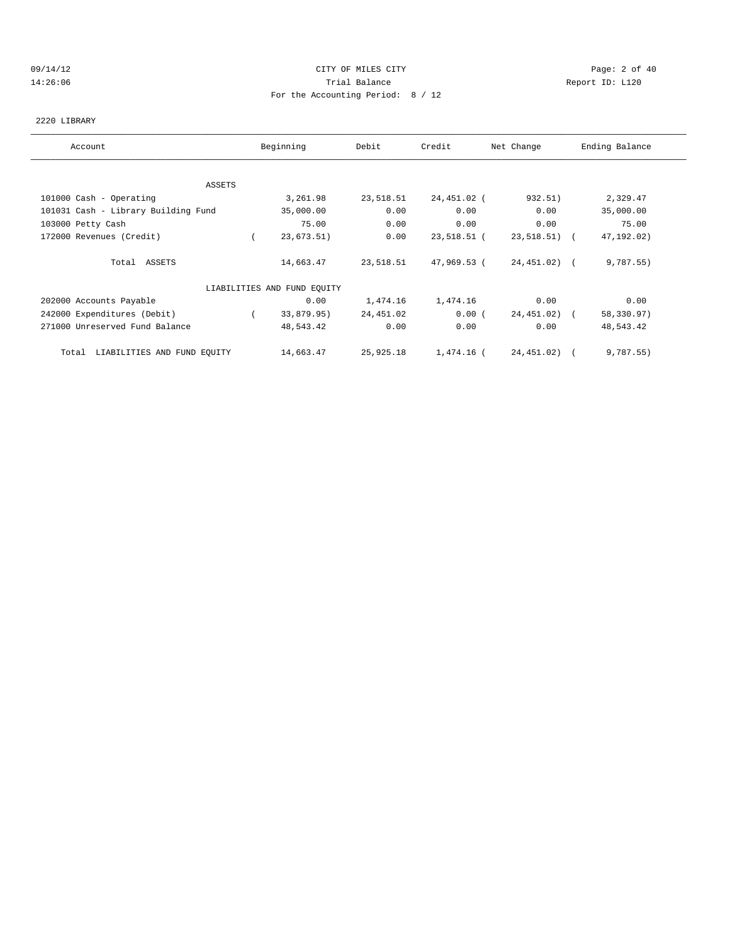### 09/14/12 Page: 2 of 40 14:26:06 Trial Balance Report ID: L120 For the Accounting Period: 8 / 12

#### 2220 LIBRARY

| Account                              |            | Beginning                   | Debit     | Credit      | Net Change   | Ending Balance |
|--------------------------------------|------------|-----------------------------|-----------|-------------|--------------|----------------|
|                                      |            |                             |           |             |              |                |
| ASSETS                               |            |                             |           |             |              |                |
| 101000 Cash - Operating              |            | 3,261.98                    | 23,518.51 | 24,451.02 ( | 932.51)      | 2,329.47       |
| 101031 Cash - Library Building Fund  |            | 35,000.00                   | 0.00      | 0.00        | 0.00         | 35,000.00      |
| 103000 Petty Cash                    |            | 75.00                       | 0.00      | 0.00        | 0.00         | 75.00          |
| 172000 Revenues (Credit)             |            | 23,673.51)                  | 0.00      | 23,518.51 ( | 23,518.51) ( | 47, 192.02)    |
| Total ASSETS                         |            | 14,663.47                   | 23,518.51 | 47,969.53 ( | 24,451.02) ( | 9,787.55)      |
|                                      |            | LIABILITIES AND FUND EQUITY |           |             |              |                |
| 202000 Accounts Payable              |            | 0.00                        | 1,474.16  | 1,474.16    | 0.00         | 0.00           |
| 242000 Expenditures (Debit)          | $\sqrt{2}$ | 33,879.95)                  | 24,451.02 | 0.00(       | 24,451.02) ( | 58,330.97)     |
| 271000 Unreserved Fund Balance       |            | 48,543.42                   | 0.00      | 0.00        | 0.00         | 48,543.42      |
| LIABILITIES AND FUND EQUITY<br>Total |            | 14,663.47                   | 25,925.18 | 1,474.16 (  | 24,451.02) ( | 9,787.55)      |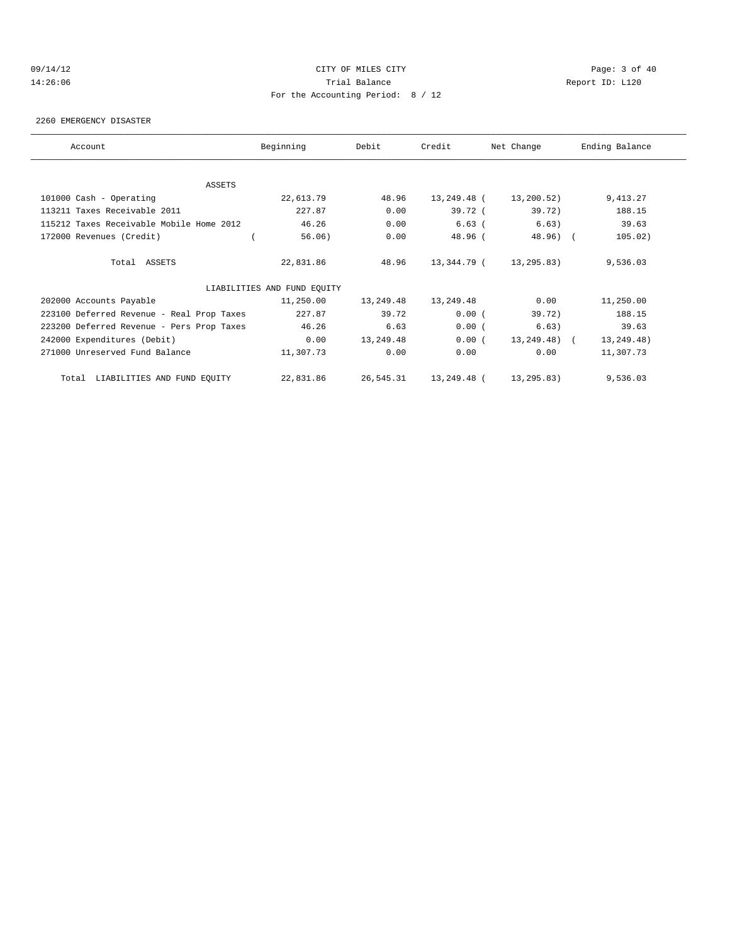### 09/14/12 Page: 3 of 40 14:26:06 Trial Balance Report ID: L120 For the Accounting Period: 8 / 12

#### 2260 EMERGENCY DISASTER

| Account                                   | Beginning                   | Debit     | Credit      | Net Change                | Ending Balance |
|-------------------------------------------|-----------------------------|-----------|-------------|---------------------------|----------------|
| ASSETS                                    |                             |           |             |                           |                |
| 101000 Cash - Operating                   | 22,613.79                   | 48.96     | 13,249.48 ( | 13,200.52)                | 9,413.27       |
| 113211 Taxes Receivable 2011              | 227.87                      | 0.00      | 39.72 (     | 39.72)                    | 188.15         |
| 115212 Taxes Receivable Mobile Home 2012  | 46.26                       | 0.00      | $6.63$ (    | 6.63)                     | 39.63          |
| 172000 Revenues (Credit)                  | 56.06)                      | 0.00      | 48.96 (     | 48.96) (                  | 105.02)        |
| Total ASSETS                              | 22,831.86                   | 48.96     |             | 13, 344. 79 (13, 295. 83) | 9,536.03       |
|                                           | LIABILITIES AND FUND EQUITY |           |             |                           |                |
| 202000 Accounts Payable                   | 11,250.00                   | 13,249.48 | 13,249.48   | 0.00                      | 11,250.00      |
| 223100 Deferred Revenue - Real Prop Taxes | 227.87                      | 39.72     | 0.00(       | 39.72)                    | 188.15         |
| 223200 Deferred Revenue - Pers Prop Taxes | 46.26                       | 6.63      | 0.00(       | 6.63)                     | 39.63          |
| 242000 Expenditures (Debit)               | 0.00                        | 13,249.48 | 0.00(       | 13,249.48) (              | 13, 249. 48)   |
| 271000 Unreserved Fund Balance            | 11,307.73                   | 0.00      | 0.00        | 0.00                      | 11,307.73      |
| Total LIABILITIES AND FUND EQUITY         | 22,831.86                   | 26,545.31 | 13,249.48 ( | 13,295.83)                | 9,536.03       |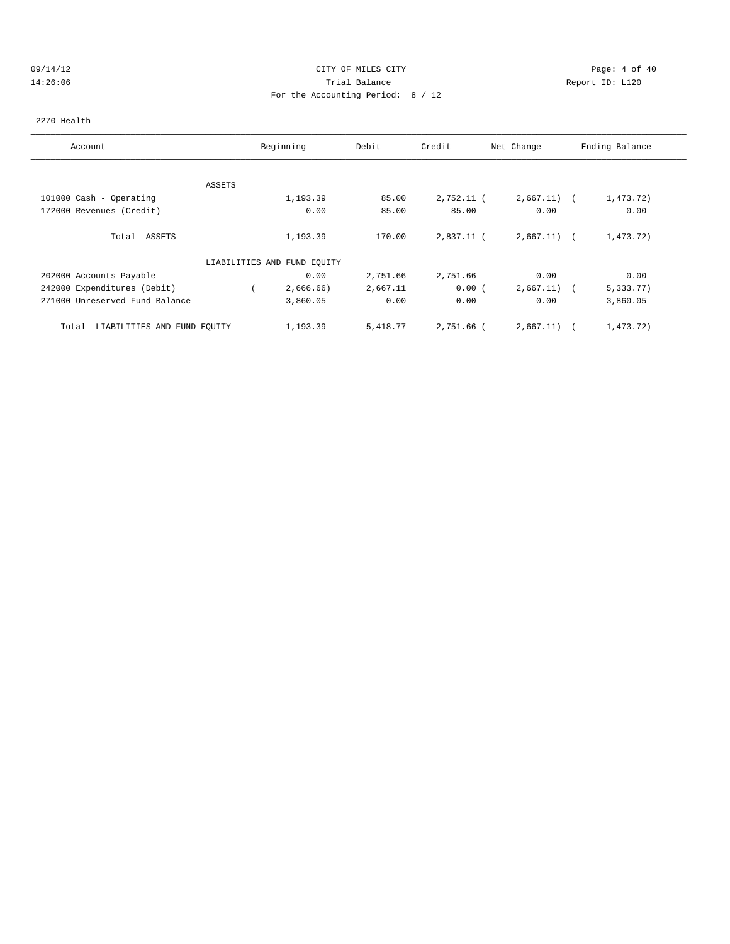### 09/14/12 Page: 4 of 40 14:26:06 Trial Balance Report ID: L120 For the Accounting Period: 8 / 12

#### 2270 Health

| Account                              |               | Beginning                   | Debit    | Credit       | Net Change    | Ending Balance |
|--------------------------------------|---------------|-----------------------------|----------|--------------|---------------|----------------|
|                                      |               |                             |          |              |               |                |
|                                      | <b>ASSETS</b> |                             |          |              |               |                |
| 101000 Cash - Operating              |               | 1,193.39                    | 85.00    | $2,752.11$ ( | $2,667.11)$ ( | 1,473.72)      |
| 172000 Revenues (Credit)             |               | 0.00                        | 85.00    | 85.00        | 0.00          | 0.00           |
| Total ASSETS                         |               | 1,193.39                    | 170.00   | 2,837.11 (   | $2,667.11)$ ( | 1,473.72)      |
|                                      |               | LIABILITIES AND FUND EQUITY |          |              |               |                |
| 202000 Accounts Payable              |               | 0.00                        | 2,751.66 | 2,751.66     | 0.00          | 0.00           |
| 242000 Expenditures (Debit)          |               | 2,666.66)                   | 2,667.11 | 0.00(        | 2,667.11)     | 5,333.77)      |
| 271000 Unreserved Fund Balance       |               | 3,860.05                    | 0.00     | 0.00         | 0.00          | 3,860.05       |
| LIABILITIES AND FUND EQUITY<br>Total |               | 1,193.39                    | 5,418.77 | 2,751.66 (   | 2,667.11)     | 1,473.72)      |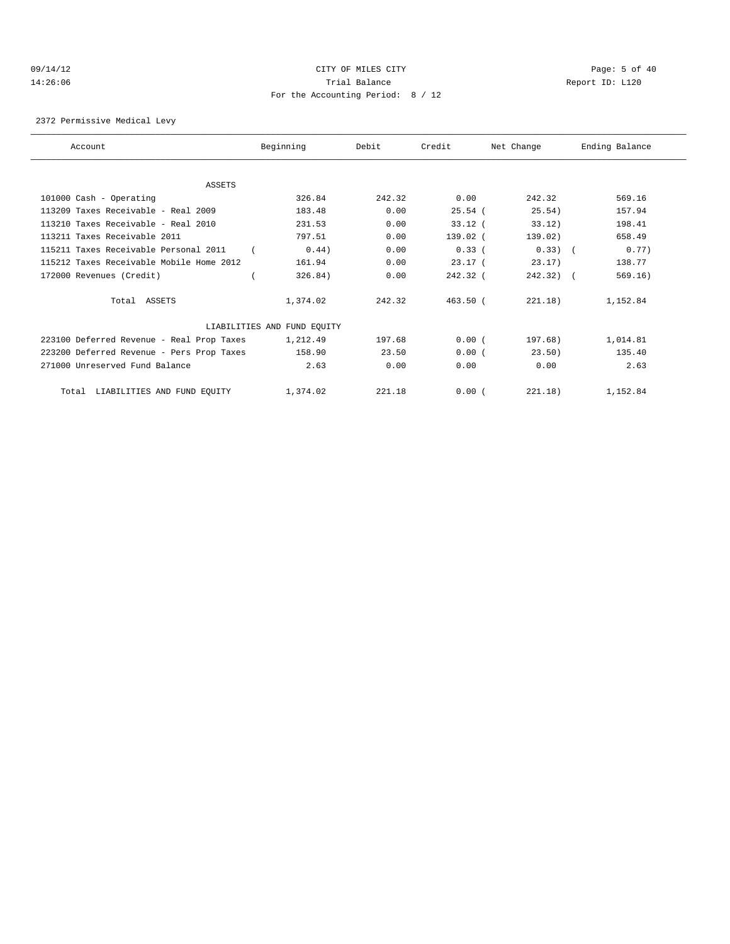## 09/14/12 Page: 5 of 40 14:26:06 Trial Balance Report ID: L120 For the Accounting Period: 8 / 12

#### 2372 Permissive Medical Levy

| Account                                   | Beginning                   | Debit  | Credit     | Net Change  | Ending Balance |
|-------------------------------------------|-----------------------------|--------|------------|-------------|----------------|
|                                           |                             |        |            |             |                |
| ASSETS                                    |                             |        |            |             |                |
| 101000 Cash - Operating                   | 326.84                      | 242.32 | 0.00       | 242.32      | 569.16         |
| 113209 Taxes Receivable - Real 2009       | 183.48                      | 0.00   | 25.54(     | 25.54)      | 157.94         |
| 113210 Taxes Receivable - Real 2010       | 231.53                      | 0.00   | $33.12$ (  | 33.12)      | 198.41         |
| 113211 Taxes Receivable 2011              | 797.51                      | 0.00   | $139.02$ ( | 139.02)     | 658.49         |
| 115211 Taxes Receivable Personal 2011     | 0.44)                       | 0.00   | 0.33(      | $0.33)$ (   | 0.77)          |
| 115212 Taxes Receivable Mobile Home 2012  | 161.94                      | 0.00   | 23.17(     | 23.17       | 138.77         |
| 172000 Revenues (Credit)                  | 326.84)                     | 0.00   | $242.32$ ( | $242.32)$ ( | 569.16)        |
| Total ASSETS                              | 1,374.02                    | 242.32 | 463.50(    | 221.18)     | 1,152.84       |
|                                           | LIABILITIES AND FUND EQUITY |        |            |             |                |
| 223100 Deferred Revenue - Real Prop Taxes | 1,212.49                    | 197.68 | 0.00(      | 197.68)     | 1,014.81       |
| 223200 Deferred Revenue - Pers Prop Taxes | 158.90                      | 23.50  | 0.00(      | 23.50)      | 135.40         |
| 271000 Unreserved Fund Balance            | 2.63                        | 0.00   | 0.00       | 0.00        | 2.63           |
| Total LIABILITIES AND FUND EQUITY         | 1,374.02                    | 221.18 | 0.00(      | 221.18)     | 1,152.84       |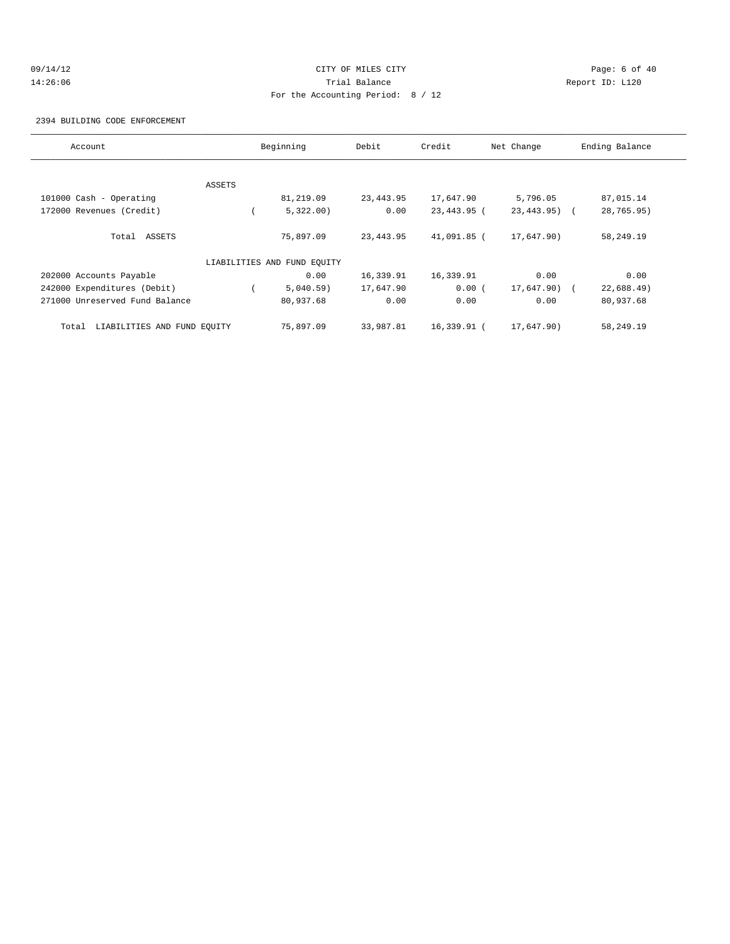## 09/14/12 Page: 6 of 40 14:26:06 Trial Balance Report ID: L120 For the Accounting Period: 8 / 12

2394 BUILDING CODE ENFORCEMENT

| Account                              |        | Beginning                   | Debit     | Credit      | Net Change      | Ending Balance |
|--------------------------------------|--------|-----------------------------|-----------|-------------|-----------------|----------------|
|                                      |        |                             |           |             |                 |                |
|                                      | ASSETS |                             |           |             |                 |                |
| 101000 Cash - Operating              |        | 81,219.09                   | 23,443.95 | 17,647.90   | 5,796.05        | 87,015.14      |
| 172000 Revenues (Credit)             |        | 5,322.00                    | 0.00      | 23,443.95 ( | $23, 443, 95$ ( | 28,765.95)     |
| Total ASSETS                         |        | 75,897.09                   | 23,443.95 | 41,091.85 ( | 17,647.90)      | 58,249.19      |
|                                      |        | LIABILITIES AND FUND EQUITY |           |             |                 |                |
| 202000 Accounts Payable              |        | 0.00                        | 16,339.91 | 16,339.91   | 0.00            | 0.00           |
| 242000 Expenditures (Debit)          |        | 5,040.59)                   | 17,647.90 | 0.00(       | 17,647.90) (    | 22,688.49      |
| 271000 Unreserved Fund Balance       |        | 80,937.68                   | 0.00      | 0.00        | 0.00            | 80,937.68      |
| LIABILITIES AND FUND EQUITY<br>Total |        | 75,897.09                   | 33,987.81 | 16,339.91 ( | 17,647.90)      | 58,249.19      |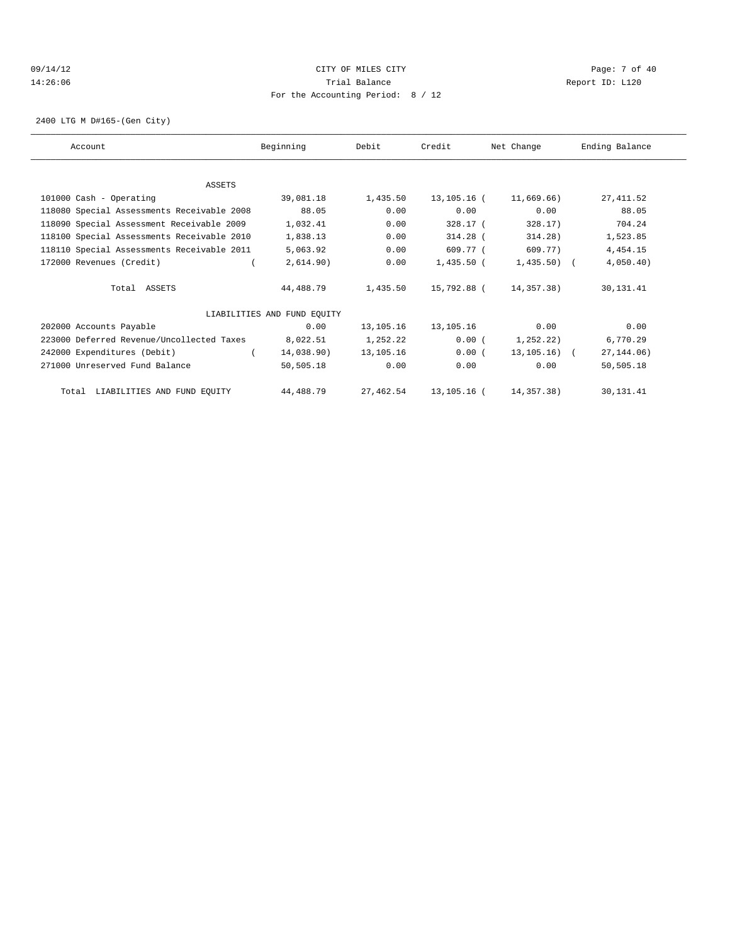## 09/14/12 Page: 7 of 40 14:26:06 Trial Balance Report ID: L120 For the Accounting Period: 8 / 12

2400 LTG M D#165-(Gen City)

| Account                                    | Beginning                   | Debit       | Credit       | Net Change   | Ending Balance |
|--------------------------------------------|-----------------------------|-------------|--------------|--------------|----------------|
|                                            |                             |             |              |              |                |
| ASSETS                                     |                             |             |              |              |                |
| 101000 Cash - Operating                    | 39,081.18                   | 1,435.50    | 13,105.16 (  | 11,669.66)   | 27, 411.52     |
| 118080 Special Assessments Receivable 2008 | 88.05                       | 0.00        | 0.00         | 0.00         | 88.05          |
| 118090 Special Assessment Receivable 2009  | 1,032.41                    | 0.00        | 328.17 (     | 328.17       | 704.24         |
| 118100 Special Assessments Receivable 2010 | 1,838.13                    | 0.00        | $314.28$ (   | 314.28)      | 1,523.85       |
| 118110 Special Assessments Receivable 2011 | 5,063.92                    | 0.00        | 609.77 (     | 609.77)      | 4, 454. 15     |
| 172000 Revenues (Credit)                   | 2,614.90)                   | 0.00        | $1,435.50$ ( | $1,435.50$ ( | 4,050.40)      |
| Total ASSETS                               | 44,488.79                   | 1,435.50    | 15,792.88 (  | 14,357.38)   | 30,131.41      |
|                                            | LIABILITIES AND FUND EQUITY |             |              |              |                |
| 202000 Accounts Payable                    | 0.00                        | 13,105.16   | 13,105.16    | 0.00         | 0.00           |
| 223000 Deferred Revenue/Uncollected Taxes  | 8,022.51                    | 1,252.22    | 0.00(        | 1,252.22)    | 6,770.29       |
| 242000 Expenditures (Debit)                | 14,038.90)                  | 13, 105. 16 | 0.00(        | 13,105.16) ( | 27, 144.06)    |
| 271000 Unreserved Fund Balance             | 50,505.18                   | 0.00        | 0.00         | 0.00         | 50,505.18      |
| Total LIABILITIES AND FUND EQUITY          | 44,488.79                   | 27,462.54   | 13,105.16 (  | 14,357,38)   | 30, 131.41     |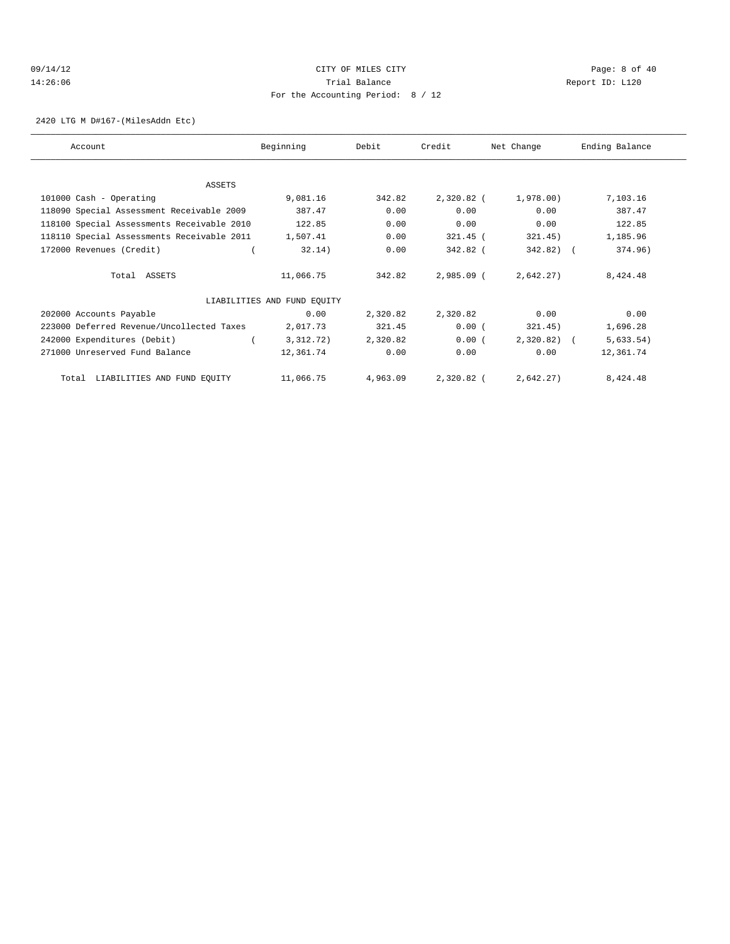## 09/14/12 Page: 8 of 40 14:26:06 Trial Balance Report ID: L120 For the Accounting Period: 8 / 12

2420 LTG M D#167-(MilesAddn Etc)

| Account                                    | Beginning                   | Debit    | Credit       | Net Change   | Ending Balance |
|--------------------------------------------|-----------------------------|----------|--------------|--------------|----------------|
|                                            |                             |          |              |              |                |
| ASSETS                                     |                             |          |              |              |                |
| 101000 Cash - Operating                    | 9,081.16                    | 342.82   | 2,320.82 (   | 1,978.00)    | 7,103.16       |
| 118090 Special Assessment Receivable 2009  | 387.47                      | 0.00     | 0.00         | 0.00         | 387.47         |
| 118100 Special Assessments Receivable 2010 | 122.85                      | 0.00     | 0.00         | 0.00         | 122.85         |
| 118110 Special Assessments Receivable 2011 | 1,507.41                    | 0.00     | 321.45 (     | 321.45)      | 1,185.96       |
| 172000 Revenues (Credit)                   | 32.14)                      | 0.00     | 342.82 (     | $342.82)$ (  | 374.96)        |
| Total ASSETS                               | 11,066.75                   | 342.82   | $2,985.09$ ( | 2,642.27)    | 8,424.48       |
|                                            | LIABILITIES AND FUND EQUITY |          |              |              |                |
| 202000 Accounts Payable                    | 0.00                        | 2,320.82 | 2,320.82     | 0.00         | 0.00           |
| 223000 Deferred Revenue/Uncollected Taxes  | 2,017.73                    | 321.45   | 0.00(        | 321.45)      | 1,696.28       |
| 242000 Expenditures (Debit)                | 3,312.72)                   | 2,320.82 | 0.00(        | $2,320.82$ ( | 5,633.54)      |
| 271000 Unreserved Fund Balance             | 12,361.74                   | 0.00     | 0.00         | 0.00         | 12,361.74      |
| Total LIABILITIES AND FUND EQUITY          | 11,066.75                   | 4,963.09 | 2,320.82 (   | 2,642.27)    | 8,424.48       |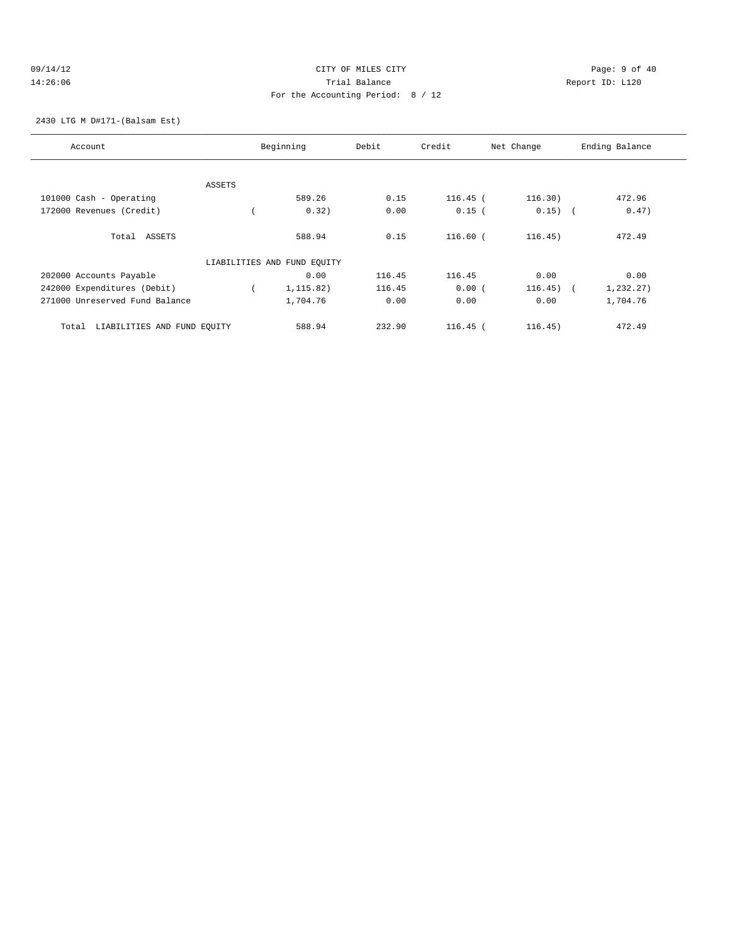### 09/14/12 Page: 9 of 40 14:26:06 Trial Balance Report ID: L120 For the Accounting Period: 8 / 12

2430 LTG M D#171-(Balsam Est)

| Account                              |        | Beginning                   | Debit  | Credit     | Net Change | Ending Balance          |
|--------------------------------------|--------|-----------------------------|--------|------------|------------|-------------------------|
|                                      |        |                             |        |            |            |                         |
|                                      | ASSETS |                             |        |            |            |                         |
| 101000 Cash - Operating              |        | 589.26                      | 0.15   | $116.45$ ( | 116.30)    | 472.96                  |
| 172000 Revenues (Credit)             |        | 0.32)                       | 0.00   | $0.15$ (   | $0.15)$ (  | 0.47)                   |
|                                      |        |                             |        |            |            |                         |
| Total ASSETS                         |        | 588.94                      | 0.15   | $116.60$ ( | 116.45)    | 472.49                  |
|                                      |        | LIABILITIES AND FUND EQUITY |        |            |            |                         |
| 202000 Accounts Payable              |        | 0.00                        | 116.45 | 116.45     | 0.00       | 0.00                    |
| 242000 Expenditures (Debit)          |        | 1,115.82)                   | 116.45 | 0.00(      | 116.45)    | 1,232.27)<br>$\sqrt{2}$ |
| 271000 Unreserved Fund Balance       |        | 1,704.76                    | 0.00   | 0.00       | 0.00       | 1,704.76                |
|                                      |        |                             |        |            |            |                         |
| LIABILITIES AND FUND EQUITY<br>Total |        | 588.94                      | 232.90 | $116.45$ ( | 116.45)    | 472.49                  |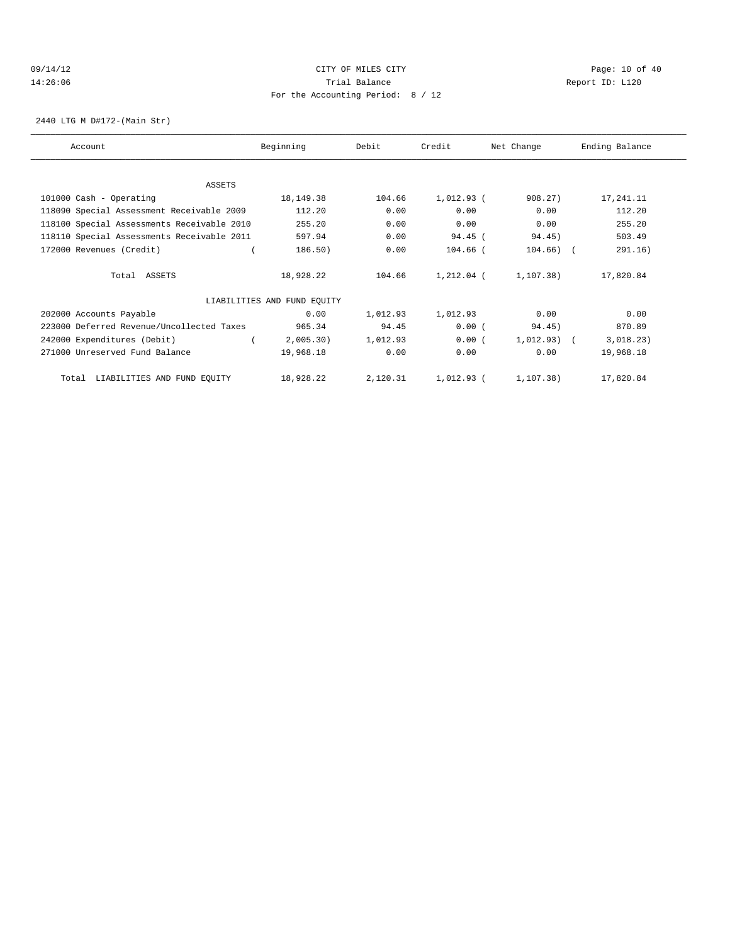### 09/14/12 Page: 10 of 40 14:26:06 Trial Balance Report ID: L120 For the Accounting Period: 8 / 12

2440 LTG M D#172-(Main Str)

| Account                                    | Beginning                   | Debit    | Credit       | Net Change    | Ending Balance |
|--------------------------------------------|-----------------------------|----------|--------------|---------------|----------------|
| ASSETS                                     |                             |          |              |               |                |
| 101000 Cash - Operating                    | 18,149.38                   | 104.66   | $1,012.93$ ( | 908.27        | 17,241.11      |
| 118090 Special Assessment Receivable 2009  | 112.20                      | 0.00     | 0.00         | 0.00          | 112.20         |
| 118100 Special Assessments Receivable 2010 | 255.20                      | 0.00     | 0.00         | 0.00          | 255.20         |
| 118110 Special Assessments Receivable 2011 | 597.94                      | 0.00     | 94.45 (      | 94.45)        | 503.49         |
| 172000 Revenues (Credit)                   | 186.50)                     | 0.00     | $104.66$ (   | $104.66)$ (   | 291.16)        |
| Total ASSETS                               | 18,928.22                   | 104.66   | 1,212.04 (   | 1,107.38)     | 17,820.84      |
|                                            | LIABILITIES AND FUND EQUITY |          |              |               |                |
| 202000 Accounts Payable                    | 0.00                        | 1,012.93 | 1,012.93     | 0.00          | 0.00           |
| 223000 Deferred Revenue/Uncollected Taxes  | 965.34                      | 94.45    | 0.00(        | 94.45)        | 870.89         |
| 242000 Expenditures (Debit)                | 2,005.30)                   | 1,012.93 | 0.00(        | $1,012.93)$ ( | 3,018.23)      |
| 271000 Unreserved Fund Balance             | 19,968.18                   | 0.00     | 0.00         | 0.00          | 19,968.18      |
| Total LIABILITIES AND FUND EQUITY          | 18,928.22                   | 2,120.31 | 1,012.93 (   | 1, 107.38)    | 17,820.84      |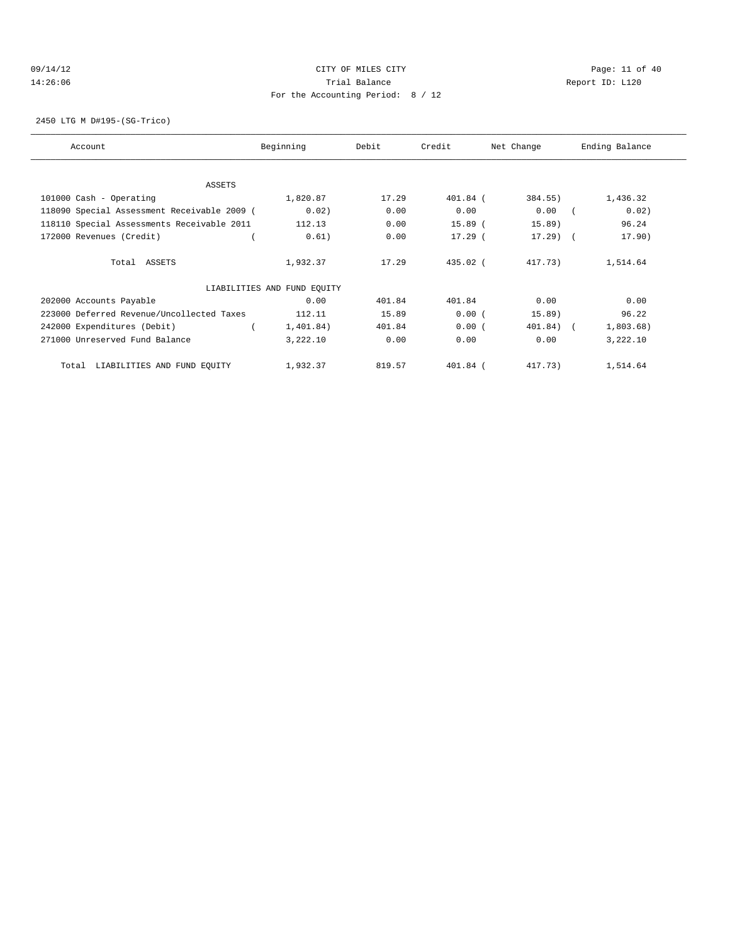### 09/14/12 Page: 11 of 40 14:26:06 Trial Balance Report ID: L120 For the Accounting Period: 8 / 12

2450 LTG M D#195-(SG-Trico)

| Account                                     | Beginning                   | Debit  | Credit     | Net Change | Ending Balance |
|---------------------------------------------|-----------------------------|--------|------------|------------|----------------|
|                                             |                             |        |            |            |                |
| ASSETS                                      |                             |        |            |            |                |
| 101000 Cash - Operating                     | 1,820.87                    | 17.29  | 401.84 (   | 384.55)    | 1,436.32       |
| 118090 Special Assessment Receivable 2009 ( | 0.02)                       | 0.00   | 0.00       | 0.00       | 0.02)          |
| 118110 Special Assessments Receivable 2011  | 112.13                      | 0.00   | $15.89$ (  | 15.89)     | 96.24          |
| 172000 Revenues (Credit)                    | 0.61)                       | 0.00   | $17.29$ (  | $17.29$ (  | 17.90)         |
| Total ASSETS                                | 1,932.37                    | 17.29  | $435.02$ ( | 417.73)    | 1,514.64       |
|                                             | LIABILITIES AND FUND EQUITY |        |            |            |                |
| 202000 Accounts Payable                     | 0.00                        | 401.84 | 401.84     | 0.00       | 0.00           |
| 223000 Deferred Revenue/Uncollected Taxes   | 112.11                      | 15.89  | 0.00(      | 15.89)     | 96.22          |
| 242000 Expenditures (Debit)                 | 1,401.84)                   | 401.84 | 0.00(      | 401.84)    | 1,803.68)      |
| 271000 Unreserved Fund Balance              | 3,222.10                    | 0.00   | 0.00       | 0.00       | 3,222.10       |
| LIABILITIES AND FUND EQUITY<br>Total        | 1,932.37                    | 819.57 | 401.84 (   | 417.73)    | 1,514.64       |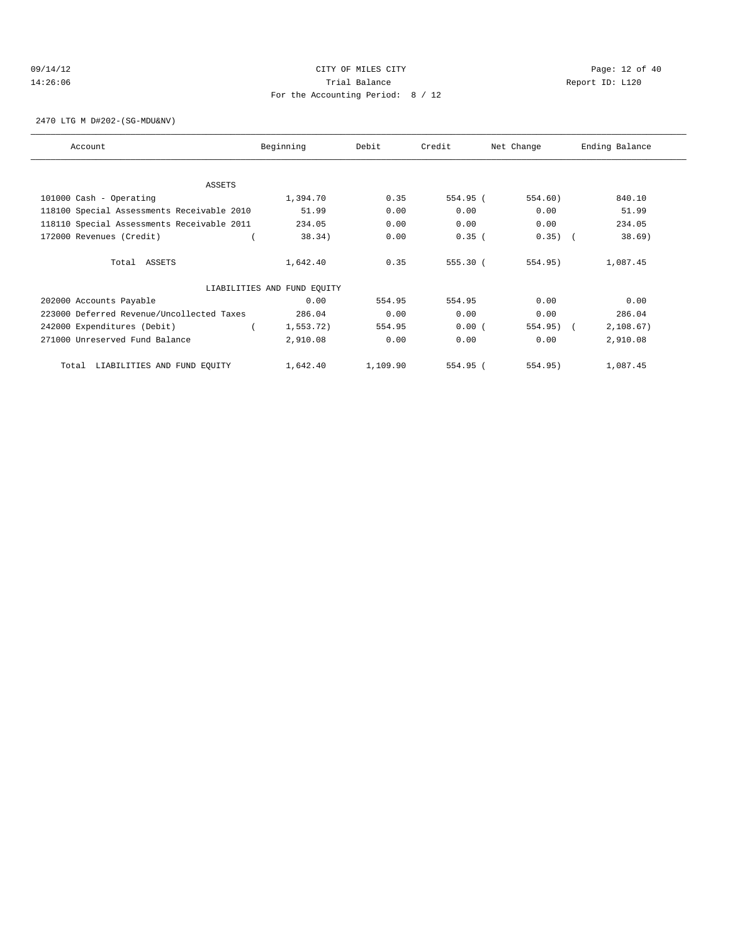### 09/14/12 Page: 12 of 40 14:26:06 Trial Balance Report ID: L120 For the Accounting Period: 8 / 12

2470 LTG M D#202-(SG-MDU&NV)

| Account                                    | Beginning                   | Debit    | Credit   | Net Change | Ending Balance |
|--------------------------------------------|-----------------------------|----------|----------|------------|----------------|
|                                            |                             |          |          |            |                |
| ASSETS                                     |                             |          |          |            |                |
| 101000 Cash - Operating                    | 1,394.70                    | 0.35     | 554.95 ( | 554.60)    | 840.10         |
| 118100 Special Assessments Receivable 2010 | 51.99                       | 0.00     | 0.00     | 0.00       | 51.99          |
| 118110 Special Assessments Receivable 2011 | 234.05                      | 0.00     | 0.00     | 0.00       | 234.05         |
| 172000 Revenues (Credit)                   | 38.34)                      | 0.00     | $0.35$ ( | 0.35)      | 38.69)         |
| Total ASSETS                               | 1,642.40                    | 0.35     | 555.30 ( | 554.95)    | 1,087.45       |
|                                            | LIABILITIES AND FUND EQUITY |          |          |            |                |
| 202000 Accounts Payable                    | 0.00                        | 554.95   | 554.95   | 0.00       | 0.00           |
| 223000 Deferred Revenue/Uncollected Taxes  | 286.04                      | 0.00     | 0.00     | 0.00       | 286.04         |
| 242000 Expenditures (Debit)                | 1,553.72)                   | 554.95   | 0.00(    | 554.95)    | 2,108.67)      |
| 271000 Unreserved Fund Balance             | 2,910.08                    | 0.00     | 0.00     | 0.00       | 2,910.08       |
| LIABILITIES AND FUND EQUITY<br>Total       | 1,642.40                    | 1,109.90 | 554.95 ( | 554.95)    | 1,087.45       |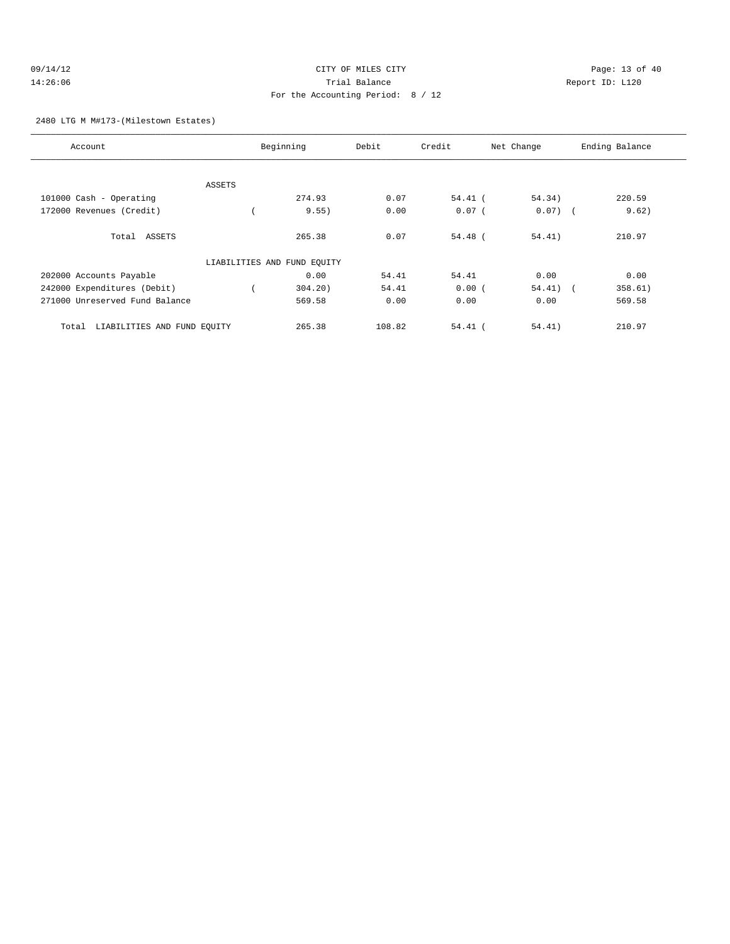| 09/14/12 | CITY OF MILES CITY                |  |
|----------|-----------------------------------|--|
| 14:26:06 | Trial Balance                     |  |
|          | For the Accounting Period: 8 / 12 |  |

Page: 13 of 40 Report ID: L120

# 2480 LTG M M#173-(Milestown Estates)

| Account                              |        | Beginning                   | Debit  | Credit    | Net Change | Ending Balance |
|--------------------------------------|--------|-----------------------------|--------|-----------|------------|----------------|
|                                      |        |                             |        |           |            |                |
|                                      | ASSETS |                             |        |           |            |                |
| 101000 Cash - Operating              |        | 274.93                      | 0.07   | $54.41$ ( | 54.34)     | 220.59         |
| 172000 Revenues (Credit)             |        | 9.55)                       | 0.00   | $0.07$ (  | $0.07)$ (  | 9.62)          |
| Total ASSETS                         |        | 265.38                      | 0.07   | $54.48$ ( | 54.41)     | 210.97         |
|                                      |        | LIABILITIES AND FUND EQUITY |        |           |            |                |
| 202000 Accounts Payable              |        | 0.00                        | 54.41  | 54.41     | 0.00       | 0.00           |
| 242000 Expenditures (Debit)          |        | 304.20                      | 54.41  | 0.00(     | $54.41)$ ( | 358.61)        |
| 271000 Unreserved Fund Balance       |        | 569.58                      | 0.00   | 0.00      | 0.00       | 569.58         |
| LIABILITIES AND FUND EOUITY<br>Total |        | 265.38                      | 108.82 | $54.41$ ( | 54.41)     | 210.97         |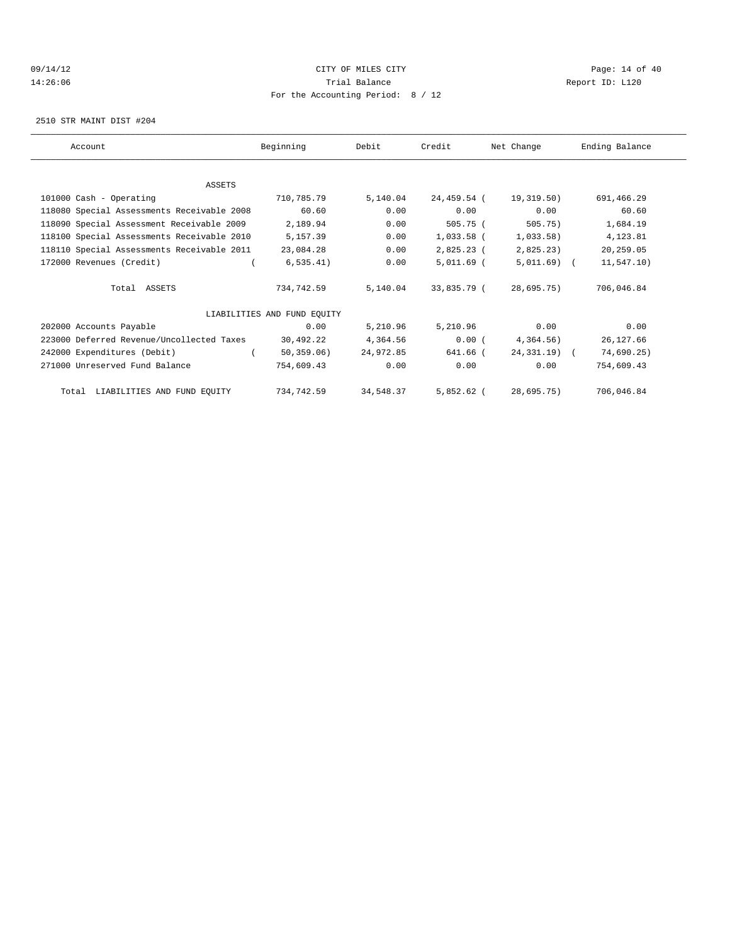### 09/14/12 Page: 14 of 40 14:26:06 Trial Balance Report ID: L120 For the Accounting Period: 8 / 12

2510 STR MAINT DIST #204

| Account                                    | Beginning                   | Debit     | Credit       | Net Change    | Ending Balance |
|--------------------------------------------|-----------------------------|-----------|--------------|---------------|----------------|
|                                            |                             |           |              |               |                |
| <b>ASSETS</b>                              |                             |           |              |               |                |
| 101000 Cash - Operating                    | 710,785.79                  | 5,140.04  | 24,459.54 (  | 19,319.50)    | 691,466.29     |
| 118080 Special Assessments Receivable 2008 | 60.60                       | 0.00      | 0.00         | 0.00          | 60.60          |
| 118090 Special Assessment Receivable 2009  | 2,189.94                    | 0.00      | 505.75 (     | 505.75)       | 1,684.19       |
| 118100 Special Assessments Receivable 2010 | 5,157.39                    | 0.00      | $1,033.58$ ( | 1,033.58)     | 4,123.81       |
| 118110 Special Assessments Receivable 2011 | 23,084.28                   | 0.00      | 2,825.23 (   | 2,825.23)     | 20,259.05      |
| 172000 Revenues (Credit)                   | 6, 535.41)                  | 0.00      | 5,011.69 (   | $5,011.69$ (  | 11,547.10)     |
| Total ASSETS                               | 734,742.59                  | 5,140.04  | 33,835.79 (  | 28,695.75)    | 706,046.84     |
|                                            | LIABILITIES AND FUND EQUITY |           |              |               |                |
| 202000 Accounts Payable                    | 0.00                        | 5,210.96  | 5,210.96     | 0.00          | 0.00           |
| 223000 Deferred Revenue/Uncollected Taxes  | 30,492.22                   | 4,364.56  | 0.00(        | 4,364.56)     | 26,127.66      |
| 242000 Expenditures (Debit)                | 50, 359.06)                 | 24,972.85 | 641.66 (     | $24,331,19$ ( | 74,690.25)     |
| 271000 Unreserved Fund Balance             | 754,609.43                  | 0.00      | 0.00         | 0.00          | 754,609.43     |
| Total LIABILITIES AND FUND EQUITY          | 734,742.59                  | 34,548.37 | 5,852.62 (   | 28,695.75)    | 706,046.84     |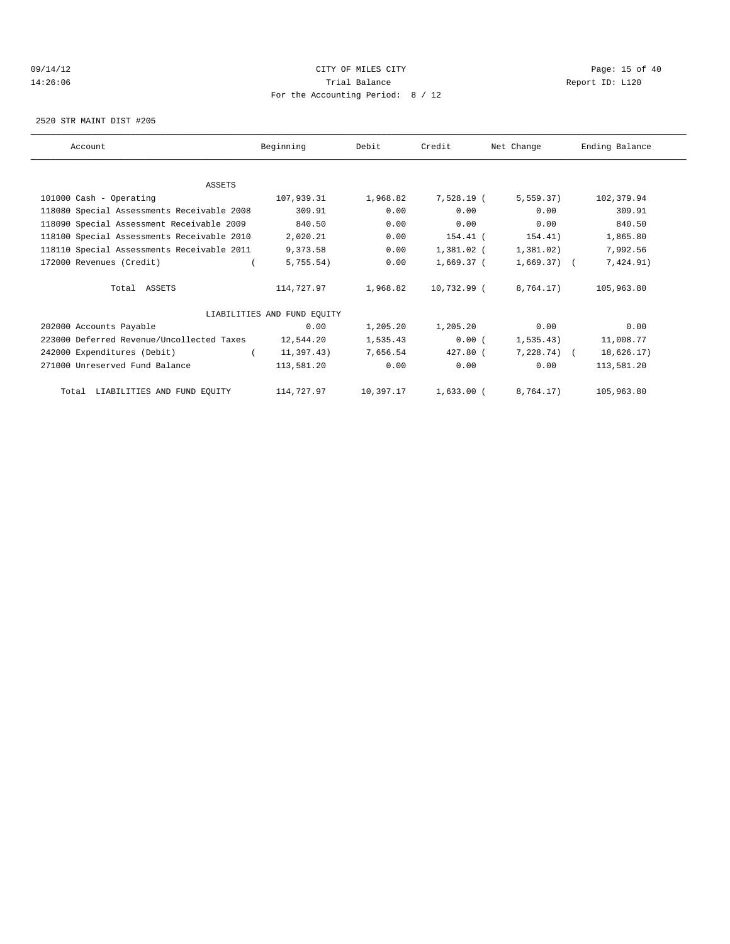### 09/14/12 Page: 15 of 40 14:26:06 Trial Balance Report ID: L120 For the Accounting Period: 8 / 12

2520 STR MAINT DIST #205

| Account                                    | Beginning                   | Debit     | Credit       | Net Change     | Ending Balance |
|--------------------------------------------|-----------------------------|-----------|--------------|----------------|----------------|
|                                            |                             |           |              |                |                |
| <b>ASSETS</b>                              |                             |           |              |                |                |
| 101000 Cash - Operating                    | 107,939.31                  | 1,968.82  | 7,528.19 (   | 5,559.37)      | 102,379.94     |
| 118080 Special Assessments Receivable 2008 | 309.91                      | 0.00      | 0.00         | 0.00           | 309.91         |
| 118090 Special Assessment Receivable 2009  | 840.50                      | 0.00      | 0.00         | 0.00           | 840.50         |
| 118100 Special Assessments Receivable 2010 | 2,020.21                    | 0.00      | 154.41 (     | 154.41)        | 1,865.80       |
| 118110 Special Assessments Receivable 2011 | 9,373.58                    | 0.00      | $1,381.02$ ( | 1,381.02)      | 7,992.56       |
| 172000 Revenues (Credit)                   | 5,755.54)                   | 0.00      | 1,669.37 (   | $1,669.37$ ) ( | 7,424.91)      |
| Total ASSETS                               | 114,727.97                  | 1,968.82  | 10,732.99 (  | 8,764.17)      | 105,963.80     |
|                                            | LIABILITIES AND FUND EQUITY |           |              |                |                |
| 202000 Accounts Payable                    | 0.00                        | 1,205.20  | 1,205.20     | 0.00           | 0.00           |
| 223000 Deferred Revenue/Uncollected Taxes  | 12,544.20                   | 1,535.43  | 0.00(        | 1, 535.43)     | 11,008.77      |
| 242000 Expenditures (Debit)                | 11,397.43)                  | 7,656.54  | $427.80$ (   | $7,228.74$ (   | 18,626.17)     |
| 271000 Unreserved Fund Balance             | 113,581.20                  | 0.00      | 0.00         | 0.00           | 113,581.20     |
| Total LIABILITIES AND FUND EQUITY          | 114,727.97                  | 10,397.17 | 1,633.00 (   | 8,764.17)      | 105,963.80     |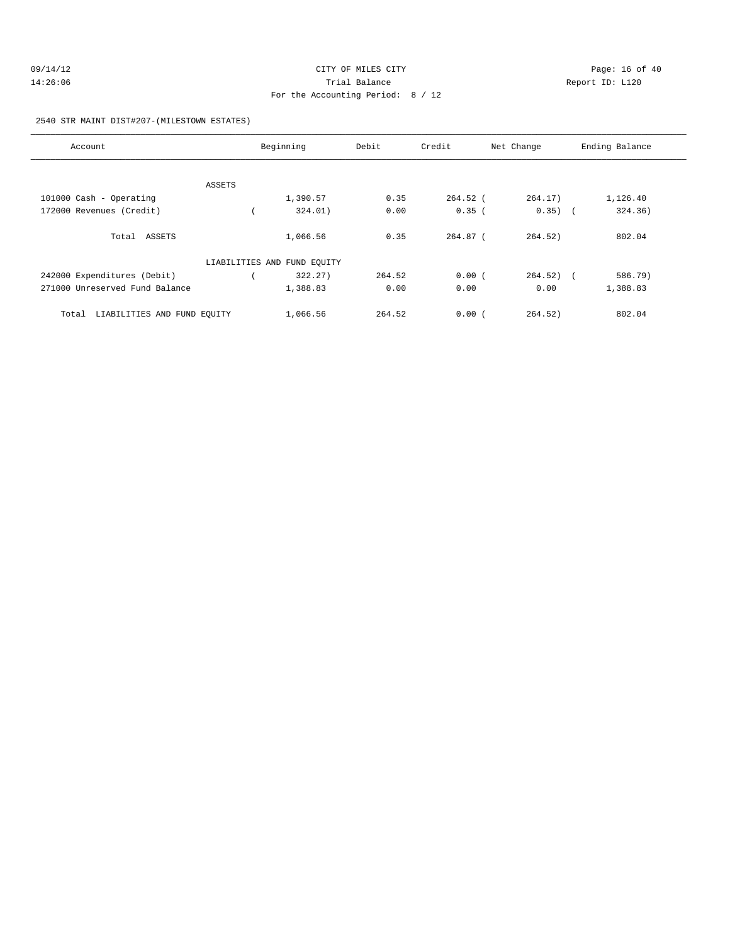| 09/14/12 | CITY OF MILES CITY                | Page: 16 of 40  |
|----------|-----------------------------------|-----------------|
| 14:26:06 | Trial Balance                     | Report ID: L120 |
|          | For the Accounting Period: 8 / 12 |                 |

2540 STR MAINT DIST#207-(MILESTOWN ESTATES)

| Account                              |        | Beginning                   | Debit  | Credit     | Net Change   | Ending Balance |
|--------------------------------------|--------|-----------------------------|--------|------------|--------------|----------------|
|                                      |        |                             |        |            |              |                |
|                                      | ASSETS |                             |        |            |              |                |
| 101000 Cash - Operating              |        | 1,390.57                    | 0.35   | $264.52$ ( | 264.17)      | 1,126.40       |
| 172000 Revenues (Credit)             |        | 324.01)                     | 0.00   | $0.35$ (   | $0.35)$ (    | 324.36)        |
|                                      |        |                             |        |            |              |                |
| Total ASSETS                         |        | 1,066.56                    | 0.35   | $264.87$ ( | 264.52)      | 802.04         |
|                                      |        | LIABILITIES AND FUND EQUITY |        |            |              |                |
| 242000 Expenditures (Debit)          |        | 322.27                      | 264.52 | 0.00(      | $264.52$ ) ( | 586.79)        |
| 271000 Unreserved Fund Balance       |        | 1,388.83                    | 0.00   | 0.00       | 0.00         | 1,388.83       |
| LIABILITIES AND FUND EQUITY<br>Total |        | 1,066.56                    | 264.52 | 0.00(      | 264.52)      | 802.04         |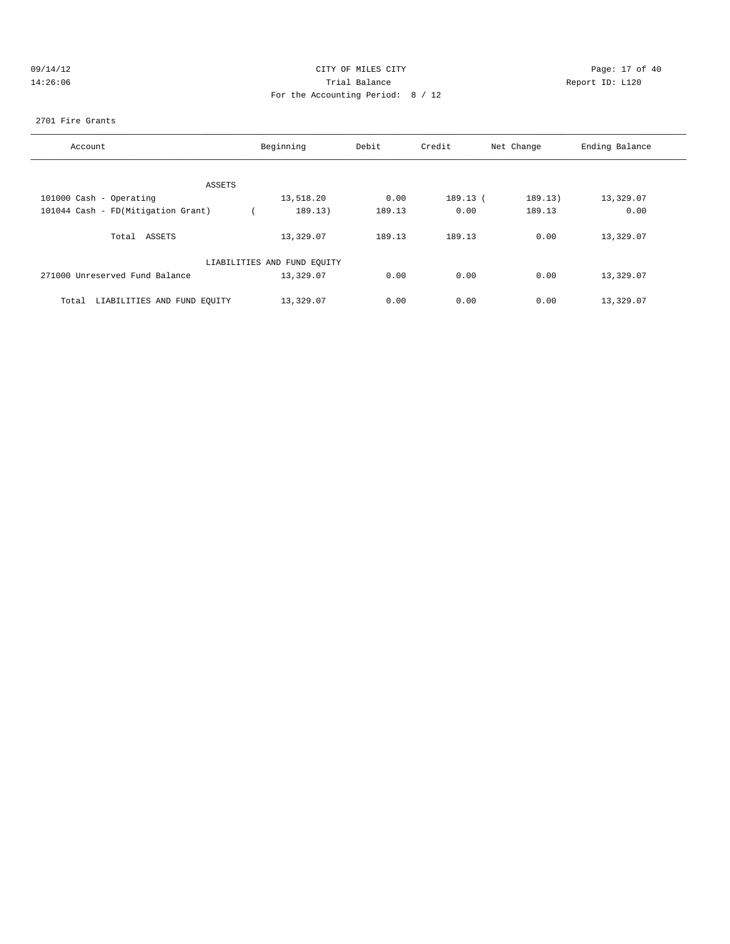| 09/14/12 | CITY OF MILES CITY                | Page: 17 of 40  |
|----------|-----------------------------------|-----------------|
| 14:26:06 | Trial Balance                     | Report ID: L120 |
|          | For the Accounting Period: 8 / 12 |                 |

2701 Fire Grants

| Account                              | Beginning                   | Debit  | Credit   | Net Change | Ending Balance |
|--------------------------------------|-----------------------------|--------|----------|------------|----------------|
|                                      |                             |        |          |            |                |
| ASSETS                               |                             |        |          |            |                |
| 101000 Cash - Operating              | 13,518.20                   | 0.00   | 189.13 ( | 189.13)    | 13,329.07      |
| 101044 Cash - FD(Mitigation Grant)   | 189.13)                     | 189.13 | 0.00     | 189.13     | 0.00           |
| ASSETS<br>Total                      | 13,329.07                   | 189.13 | 189.13   | 0.00       | 13,329.07      |
|                                      | LIABILITIES AND FUND EQUITY |        |          |            |                |
| 271000 Unreserved Fund Balance       | 13,329.07                   | 0.00   | 0.00     | 0.00       | 13,329.07      |
| LIABILITIES AND FUND EQUITY<br>Total | 13,329.07                   | 0.00   | 0.00     | 0.00       | 13,329.07      |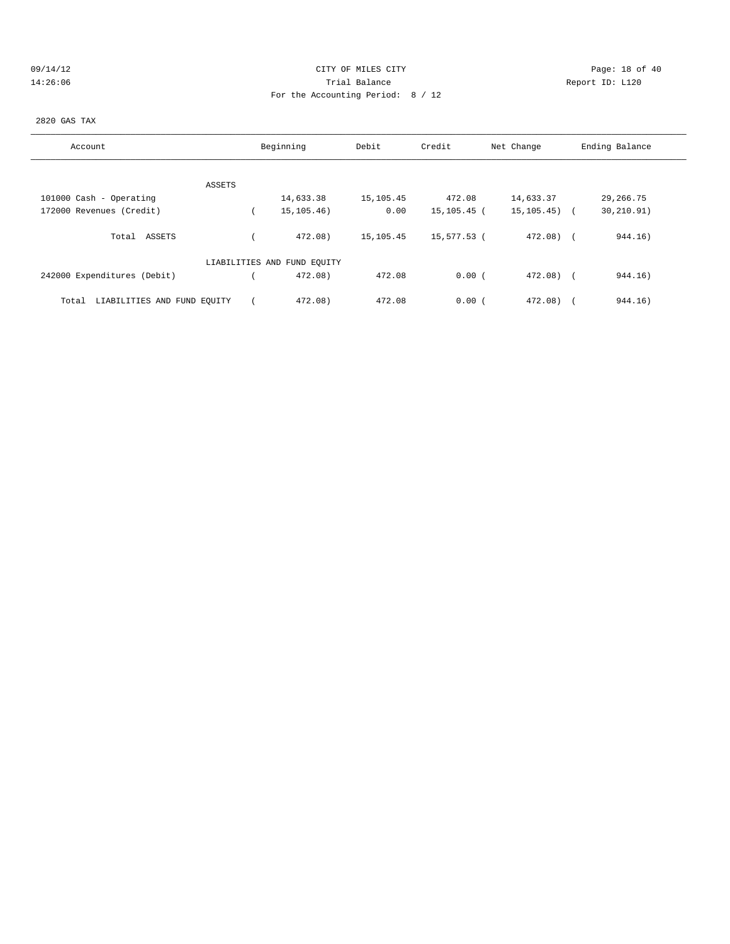| 09/14/12 |  |
|----------|--|
| 14:26:06 |  |

## CITY OF MILES CITY CONTROL CONTROL CONTROL CONTROL CITY 14:26:06 Report ID: L120 For the Accounting Period: 8 / 12

### 2820 GAS TAX

| Account                              | Beginning                   | Debit     | Credit      | Net Change       | Ending Balance |
|--------------------------------------|-----------------------------|-----------|-------------|------------------|----------------|
|                                      |                             |           |             |                  |                |
| ASSETS                               |                             |           |             |                  |                |
| 101000 Cash - Operating              | 14,633.38                   | 15,105.45 | 472.08      | 14,633.37        | 29,266.75      |
| 172000 Revenues (Credit)             | 15, 105. 46)                | 0.00      | 15,105.45 ( | $15, 105, 45)$ ( | 30, 210.91)    |
| Total ASSETS                         | 472.08)                     | 15,105.45 | 15,577.53 ( | $472.08$ (       | 944.16)        |
|                                      | LIABILITIES AND FUND EQUITY |           |             |                  |                |
| 242000 Expenditures (Debit)          | 472.08)                     | 472.08    | 0.00(       | $472.08$ (       | 944.16)        |
| LIABILITIES AND FUND EQUITY<br>Total | 472.08)                     | 472.08    | 0.00(       | 472.08)          | 944.16)        |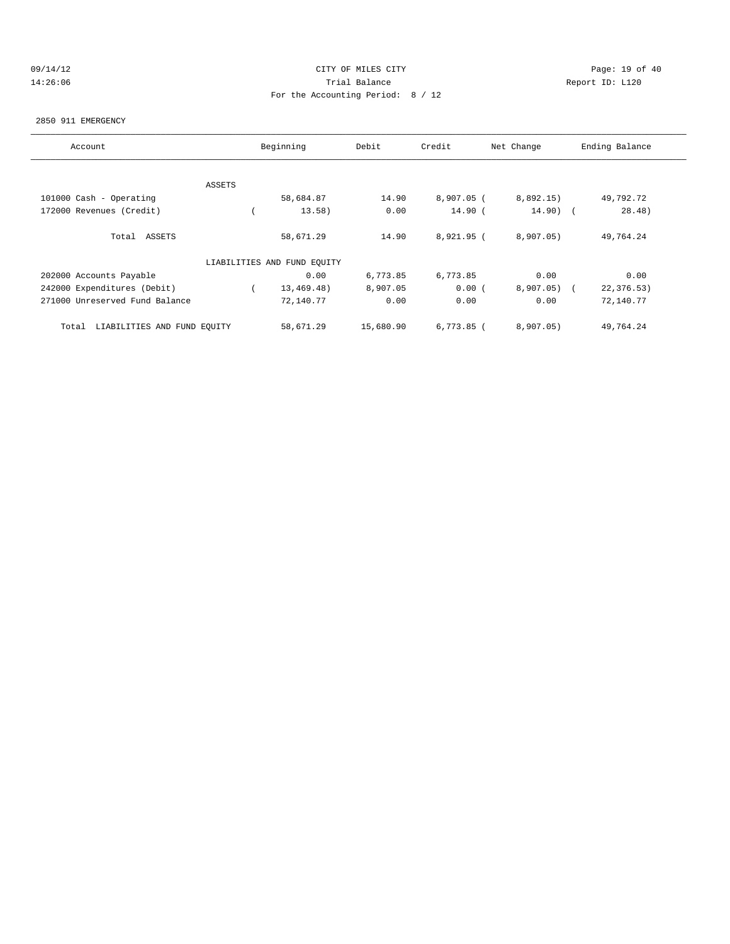## 09/14/12 Page: 19 of 40 14:26:06 Trial Balance Report ID: L120 For the Accounting Period: 8 / 12

#### 2850 911 EMERGENCY

| Account                              |        | Beginning                   | Debit     | Credit       | Net Change | Ending Balance |
|--------------------------------------|--------|-----------------------------|-----------|--------------|------------|----------------|
|                                      |        |                             |           |              |            |                |
|                                      | ASSETS |                             |           |              |            |                |
| 101000 Cash - Operating              |        | 58,684.87                   | 14.90     | $8,907.05$ ( | 8,892.15)  | 49,792.72      |
| 172000 Revenues (Credit)             |        | 13.58)                      | 0.00      | $14.90$ (    | $14.90)$ ( | 28.48)         |
| Total ASSETS                         |        | 58,671.29                   | 14.90     | 8,921.95 (   | 8,907.05)  | 49,764.24      |
|                                      |        | LIABILITIES AND FUND EQUITY |           |              |            |                |
| 202000 Accounts Payable              |        | 0.00                        | 6,773.85  | 6,773.85     | 0.00       | 0.00           |
| 242000 Expenditures (Debit)          |        | 13,469.48)                  | 8,907.05  | 0.00(        | 8,907.05)  | 22, 376.53)    |
| 271000 Unreserved Fund Balance       |        | 72,140.77                   | 0.00      | 0.00         | 0.00       | 72,140.77      |
| LIABILITIES AND FUND EQUITY<br>Total |        | 58,671.29                   | 15,680.90 | $6,773.85$ ( | 8,907.05)  | 49,764.24      |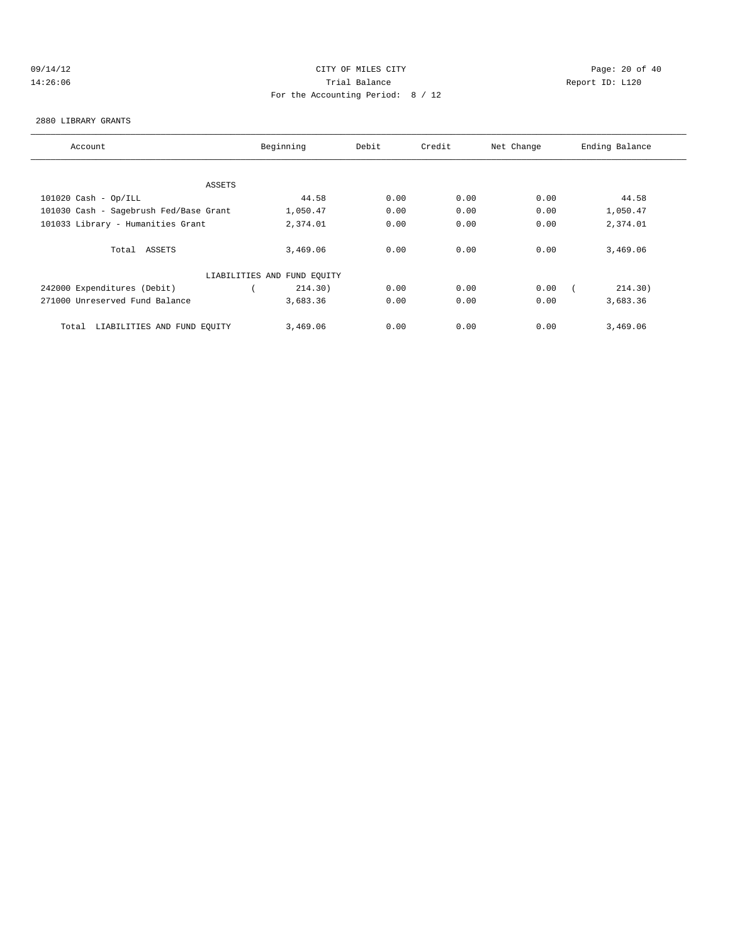## 09/14/12 Page: 20 of 40 14:26:06 Trial Balance Report ID: L120 For the Accounting Period: 8 / 12

#### 2880 LIBRARY GRANTS

| Account                                | Beginning                   | Debit | Credit | Net Change | Ending Balance |
|----------------------------------------|-----------------------------|-------|--------|------------|----------------|
|                                        |                             |       |        |            |                |
|                                        |                             |       |        |            |                |
| ASSETS                                 |                             |       |        |            |                |
| $101020$ Cash - Op/ILL                 | 44.58                       | 0.00  | 0.00   | 0.00       | 44.58          |
| 101030 Cash - Sagebrush Fed/Base Grant | 1,050.47                    | 0.00  | 0.00   | 0.00       | 1,050.47       |
| 101033 Library - Humanities Grant      | 2,374.01                    | 0.00  | 0.00   | 0.00       | 2,374.01       |
|                                        |                             |       |        |            |                |
| Total ASSETS                           | 3,469.06                    | 0.00  | 0.00   | 0.00       | 3,469.06       |
|                                        |                             |       |        |            |                |
|                                        | LIABILITIES AND FUND EQUITY |       |        |            |                |
| 242000 Expenditures (Debit)            | 214.30)                     | 0.00  | 0.00   | 0.00       | 214.30)        |
| 271000 Unreserved Fund Balance         | 3,683.36                    | 0.00  | 0.00   | 0.00       | 3,683.36       |
|                                        |                             |       |        |            |                |
| LIABILITIES AND FUND EQUITY<br>Total   | 3,469.06                    | 0.00  | 0.00   | 0.00       | 3,469.06       |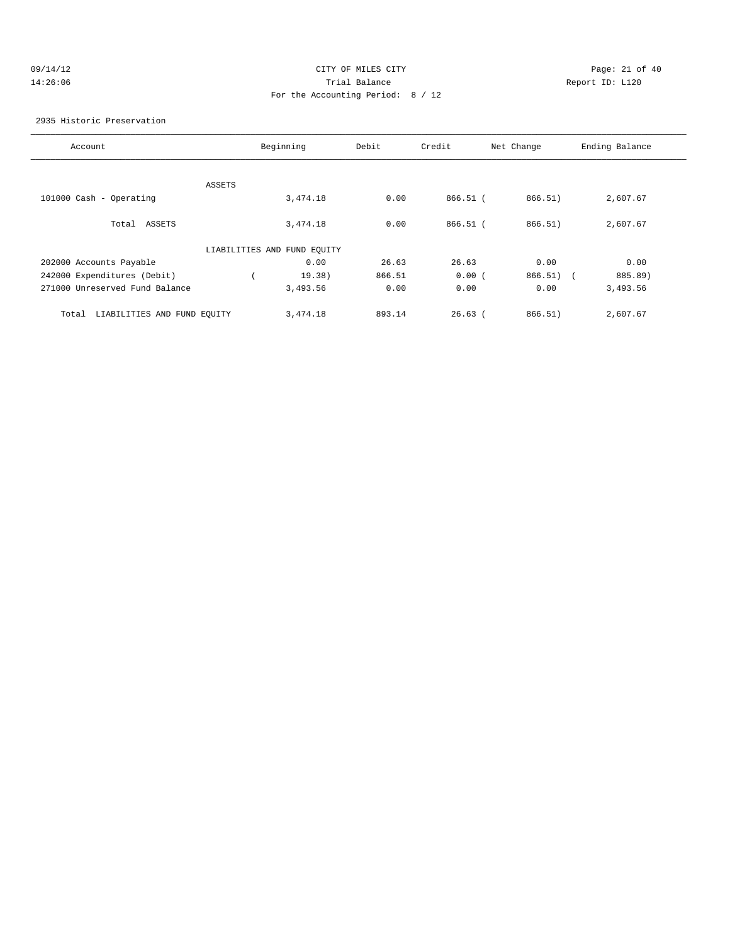### 09/14/12 Page: 21 of 40 14:26:06 Trial Balance Report ID: L120 For the Accounting Period: 8 / 12

2935 Historic Preservation

| Account                              |        | Beginning                   | Debit  | Credit     | Net Change  | Ending Balance |
|--------------------------------------|--------|-----------------------------|--------|------------|-------------|----------------|
|                                      | ASSETS |                             |        |            |             |                |
| 101000 Cash - Operating              |        | 3,474.18                    | 0.00   | 866.51 (   | 866.51)     | 2,607.67       |
| Total ASSETS                         |        | 3,474.18                    | 0.00   | $866.51$ ( | 866.51)     | 2,607.67       |
|                                      |        | LIABILITIES AND FUND EQUITY |        |            |             |                |
| 202000 Accounts Payable              |        | 0.00                        | 26.63  | 26.63      | 0.00        | 0.00           |
| 242000 Expenditures (Debit)          |        | 19.38)                      | 866.51 | 0.00(      | $866.51)$ ( | 885.89)        |
| 271000 Unreserved Fund Balance       |        | 3,493.56                    | 0.00   | 0.00       | 0.00        | 3,493.56       |
| LIABILITIES AND FUND EQUITY<br>Total |        | 3,474.18                    | 893.14 | $26.63$ (  | 866.51)     | 2,607.67       |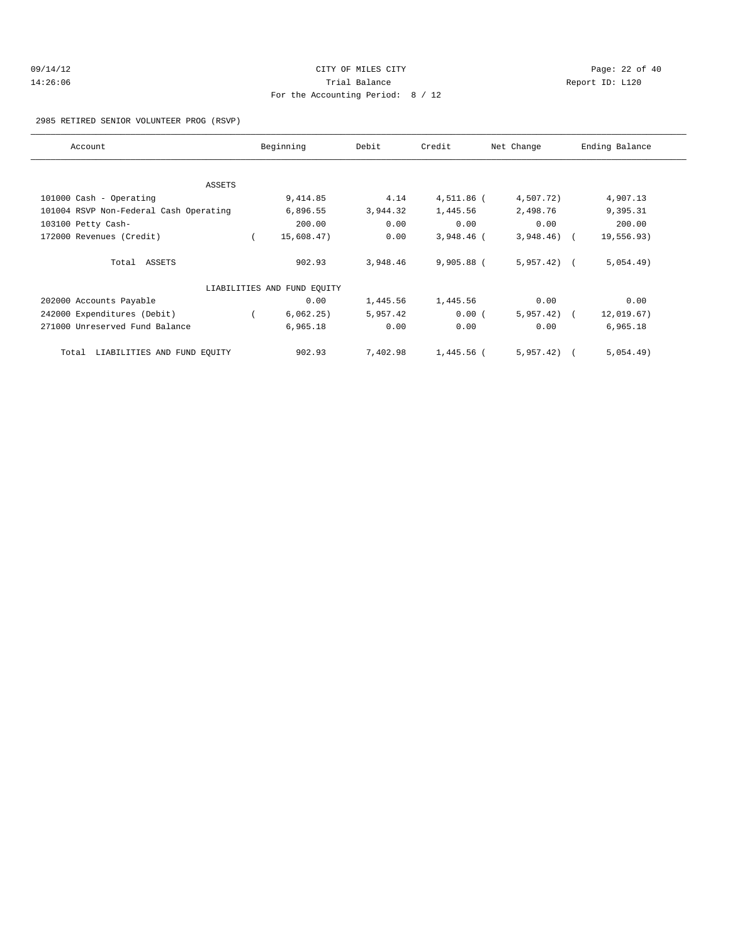| 9/14/12 |  |
|---------|--|
| 4:26:06 |  |

## 09/14/12 Page: 22 of 40 14:26:06 Trial Balance Report ID: L120 For the Accounting Period: 8 / 12

#### 2985 RETIRED SENIOR VOLUNTEER PROG (RSVP)

| Account                                | Beginning                   | Debit    | Credit       | Net Change   | Ending Balance |
|----------------------------------------|-----------------------------|----------|--------------|--------------|----------------|
|                                        |                             |          |              |              |                |
| ASSETS                                 |                             |          |              |              |                |
| 101000 Cash - Operating                | 9,414.85                    | 4.14     | 4,511.86 (   | 4,507.72)    | 4,907.13       |
| 101004 RSVP Non-Federal Cash Operating | 6,896.55                    | 3,944.32 | 1,445.56     | 2,498.76     | 9,395.31       |
| 103100 Petty Cash-                     | 200.00                      | 0.00     | 0.00         | 0.00         | 200.00         |
| 172000 Revenues (Credit)               | 15,608.47)                  | 0.00     | $3,948.46$ ( | $3,948.46$ ( | 19,556.93)     |
| Total ASSETS                           | 902.93                      | 3,948.46 | 9,905.88 (   | $5,957.42$ ( | 5,054.49)      |
|                                        | LIABILITIES AND FUND EQUITY |          |              |              |                |
| 202000 Accounts Payable                | 0.00                        | 1,445.56 | 1,445.56     | 0.00         | 0.00           |
| 242000 Expenditures (Debit)            | 6,062.25)                   | 5,957.42 | 0.00(        | $5,957.42$ ( | 12,019.67)     |
| 271000 Unreserved Fund Balance         | 6,965.18                    | 0.00     | 0.00         | 0.00         | 6,965.18       |
| LIABILITIES AND FUND EQUITY<br>Total   | 902.93                      | 7,402.98 | 1,445.56 (   | 5,957.42)    | 5,054.49)      |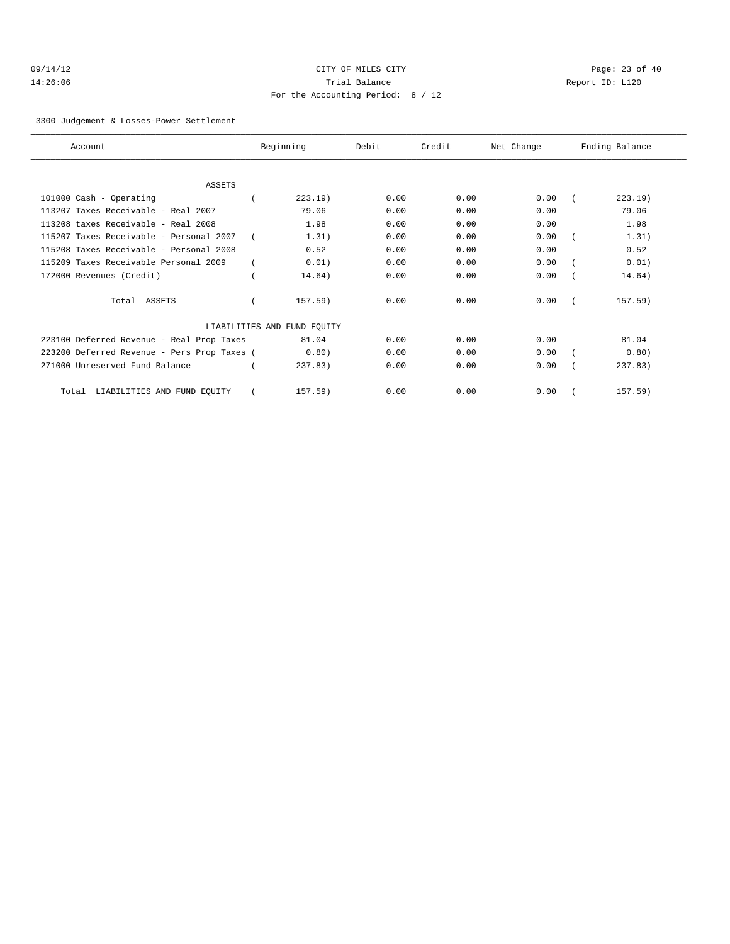| 09/14/12 |  |
|----------|--|
| 14:26:06 |  |

## CITY OF MILES CITY **Page: 23 of 40** 14:36 Trial Balance and South 10:46:06 Trial Balance Report ID: L120 For the Accounting Period: 8 / 12

3300 Judgement & Losses-Power Settlement

| Account                                     | Beginning                   | Debit | Credit | Net Change | Ending Balance |
|---------------------------------------------|-----------------------------|-------|--------|------------|----------------|
|                                             |                             |       |        |            |                |
| <b>ASSETS</b>                               |                             |       |        |            |                |
| 101000 Cash - Operating                     | 223.19)                     | 0.00  | 0.00   | 0.00       | 223.19         |
| 113207 Taxes Receivable - Real 2007         | 79.06                       | 0.00  | 0.00   | 0.00       | 79.06          |
| 113208 taxes Receivable - Real 2008         | 1.98                        | 0.00  | 0.00   | 0.00       | 1.98           |
| 115207 Taxes Receivable - Personal 2007     | 1.31)                       | 0.00  | 0.00   | 0.00       | 1.31)          |
| 115208 Taxes Receivable - Personal 2008     | 0.52                        | 0.00  | 0.00   | 0.00       | 0.52           |
| 115209 Taxes Receivable Personal 2009       | 0.01)                       | 0.00  | 0.00   | 0.00       | 0.01)          |
| 172000 Revenues (Credit)                    | 14.64)                      | 0.00  | 0.00   | 0.00       | 14.64)         |
| Total ASSETS                                | $157.59$ )                  | 0.00  | 0.00   | 0.00       | $157.59$ )     |
|                                             | LIABILITIES AND FUND EQUITY |       |        |            |                |
| 223100 Deferred Revenue - Real Prop Taxes   | 81.04                       | 0.00  | 0.00   | 0.00       | 81.04          |
| 223200 Deferred Revenue - Pers Prop Taxes ( | 0.80)                       | 0.00  | 0.00   | 0.00       | 0.80)          |
| 271000 Unreserved Fund Balance              | 237.83                      | 0.00  | 0.00   | 0.00       | 237.83         |
| LIABILITIES AND FUND EQUITY<br>Total        | 157.59)                     | 0.00  | 0.00   | 0.00       | 157.59)        |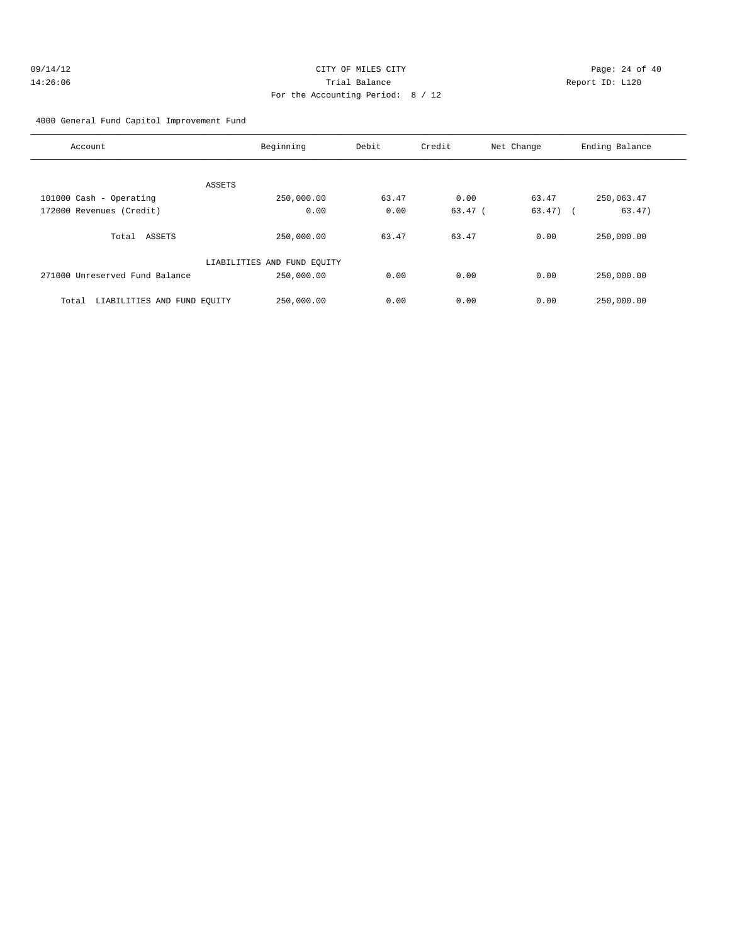| 09/14/12 | CITY OF MILES CITY                | Page: $24o$     |
|----------|-----------------------------------|-----------------|
| 14:26:06 | Trial Balance                     | Report ID: L120 |
|          | For the Accounting Period: 8 / 12 |                 |

Page: 24 of 40

### 4000 General Fund Capitol Improvement Fund

| Account                              | Beginning                   | Debit | Credit    | Net Change  | Ending Balance |
|--------------------------------------|-----------------------------|-------|-----------|-------------|----------------|
|                                      |                             |       |           |             |                |
| ASSETS                               |                             |       |           |             |                |
| 101000 Cash - Operating              | 250,000.00                  | 63.47 | 0.00      | 63.47       | 250,063.47     |
| 172000 Revenues (Credit)             | 0.00                        | 0.00  | $63.47$ ( | $63.47$ ) ( | 63.47)         |
|                                      |                             |       |           |             |                |
| Total ASSETS                         | 250,000.00                  | 63.47 | 63.47     | 0.00        | 250,000.00     |
|                                      |                             |       |           |             |                |
|                                      | LIABILITIES AND FUND EQUITY |       |           |             |                |
| 271000 Unreserved Fund Balance       | 250,000.00                  | 0.00  | 0.00      | 0.00        | 250,000.00     |
|                                      |                             |       |           |             |                |
| LIABILITIES AND FUND EQUITY<br>Total | 250,000.00                  | 0.00  | 0.00      | 0.00        | 250,000.00     |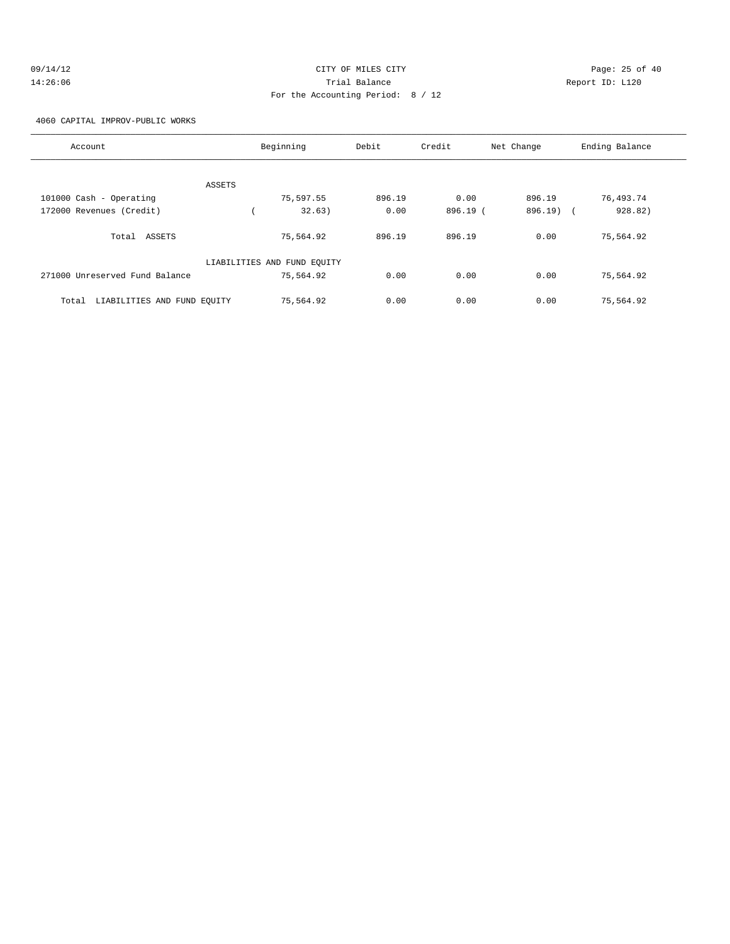| 09/14/12 | CITY OF MILES CITY                | Page: 25 of 40  |  |
|----------|-----------------------------------|-----------------|--|
| 14:26:06 | Trial Balance                     | Report ID: L120 |  |
|          | For the Accounting Period: 8 / 12 |                 |  |

### 4060 CAPITAL IMPROV-PUBLIC WORKS

| Account                              |        | Beginning                   | Debit  | Credit   | Net Change            | Ending Balance |
|--------------------------------------|--------|-----------------------------|--------|----------|-----------------------|----------------|
|                                      |        |                             |        |          |                       |                |
|                                      | ASSETS |                             |        |          |                       |                |
| 101000 Cash - Operating              |        | 75,597.55                   | 896.19 | 0.00     | 896.19                | 76,493.74      |
| 172000 Revenues (Credit)             |        | 32.63)                      | 0.00   | 896.19 ( | 896.19)<br>$\sqrt{2}$ | 928.82)        |
| ASSETS<br>Total                      |        | 75,564.92                   | 896.19 | 896.19   | 0.00                  | 75,564.92      |
|                                      |        | LIABILITIES AND FUND EQUITY |        |          |                       |                |
| 271000 Unreserved Fund Balance       |        | 75,564.92                   | 0.00   | 0.00     | 0.00                  | 75,564.92      |
| LIABILITIES AND FUND EQUITY<br>Total |        | 75,564.92                   | 0.00   | 0.00     | 0.00                  | 75,564.92      |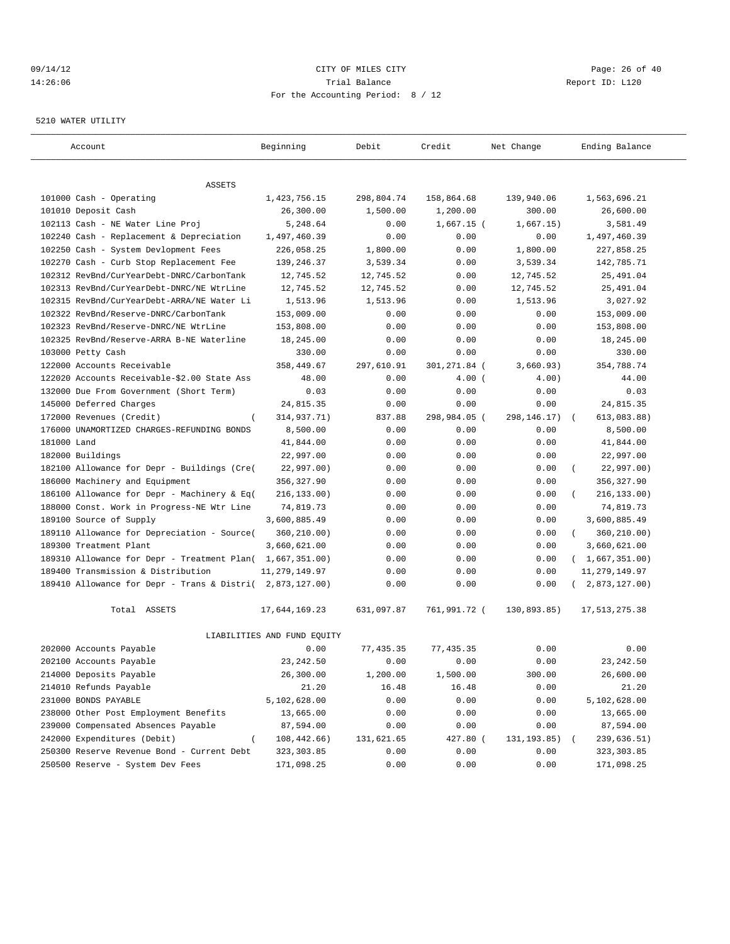### $O(14/12$  Page: 26 of 40 14:26:06 Trial Balance Report ID: L120 For the Accounting Period: 8 / 12

#### 5210 WATER UTILITY

| Account                                                   | Beginning                   | Debit      | Credit       | Net Change    | Ending Balance          |
|-----------------------------------------------------------|-----------------------------|------------|--------------|---------------|-------------------------|
| ASSETS                                                    |                             |            |              |               |                         |
| 101000 Cash - Operating                                   | 1,423,756.15                | 298,804.74 | 158,864.68   | 139,940.06    | 1,563,696.21            |
| 101010 Deposit Cash                                       | 26,300.00                   | 1,500.00   | 1,200.00     | 300.00        | 26,600.00               |
| 102113 Cash - NE Water Line Proj                          | 5,248.64                    | 0.00       | $1,667.15$ ( | 1,667.15)     | 3,581.49                |
| 102240 Cash - Replacement & Depreciation                  | 1,497,460.39                | 0.00       | 0.00         | 0.00          | 1,497,460.39            |
| 102250 Cash - System Devlopment Fees                      | 226,058.25                  | 1,800.00   | 0.00         | 1,800.00      | 227,858.25              |
| 102270 Cash - Curb Stop Replacement Fee                   | 139,246.37                  | 3,539.34   | 0.00         | 3,539.34      | 142,785.71              |
| 102312 RevBnd/CurYearDebt-DNRC/CarbonTank                 | 12,745.52                   | 12,745.52  | 0.00         | 12,745.52     | 25,491.04               |
| 102313 RevBnd/CurYearDebt-DNRC/NE WtrLine                 | 12,745.52                   | 12,745.52  | 0.00         | 12,745.52     | 25,491.04               |
| 102315 RevBnd/CurYearDebt-ARRA/NE Water Li                | 1,513.96                    | 1,513.96   | 0.00         | 1,513.96      | 3,027.92                |
| 102322 RevBnd/Reserve-DNRC/CarbonTank                     | 153,009.00                  | 0.00       | 0.00         | 0.00          | 153,009.00              |
| 102323 RevBnd/Reserve-DNRC/NE WtrLine                     | 153,808.00                  | 0.00       | 0.00         | 0.00          | 153,808.00              |
| 102325 RevBnd/Reserve-ARRA B-NE Waterline                 | 18,245.00                   | 0.00       | 0.00         | 0.00          | 18,245.00               |
| 103000 Petty Cash                                         | 330.00                      | 0.00       | 0.00         | 0.00          | 330.00                  |
| 122000 Accounts Receivable                                | 358,449.67                  | 297,610.91 | 301,271.84 ( | 3,660.93)     | 354,788.74              |
| 122020 Accounts Receivable-\$2.00 State Ass               | 48.00                       | 0.00       | 4.00(        | 4.00)         | 44.00                   |
| 132000 Due From Government (Short Term)                   | 0.03                        | 0.00       | 0.00         | 0.00          | 0.03                    |
| 145000 Deferred Charges                                   | 24,815.35                   | 0.00       | 0.00         | 0.00          | 24,815.35               |
| 172000 Revenues (Credit)                                  | 314,937.71)                 | 837.88     | 298,984.05 ( | 298, 146. 17) | 613,083.88)             |
| 176000 UNAMORTIZED CHARGES-REFUNDING BONDS                | 8,500.00                    | 0.00       | 0.00         | 0.00          | 8,500.00                |
| 181000 Land                                               | 41,844.00                   | 0.00       | 0.00         | 0.00          | 41,844.00               |
| 182000 Buildings                                          | 22,997.00                   | 0.00       | 0.00         | 0.00          | 22,997.00               |
| 182100 Allowance for Depr - Buildings (Cre(               | 22,997.00)                  | 0.00       | 0.00         | 0.00          | 22,997.00)<br>$\left($  |
| 186000 Machinery and Equipment                            | 356,327.90                  | 0.00       | 0.00         | 0.00          | 356, 327.90             |
| 186100 Allowance for Depr - Machinery & Eq(               | 216, 133.00)                | 0.00       | 0.00         | 0.00          | 216,133.00)             |
| 188000 Const. Work in Progress-NE Wtr Line                | 74,819.73                   | 0.00       | 0.00         | 0.00          | 74,819.73               |
| 189100 Source of Supply                                   | 3,600,885.49                | 0.00       | 0.00         | 0.00          | 3,600,885.49            |
| 189110 Allowance for Depreciation - Source(               | 360,210.00)                 | 0.00       | 0.00         | 0.00          | 360,210.00)<br>$\left($ |
| 189300 Treatment Plant                                    | 3,660,621.00                | 0.00       | 0.00         | 0.00          | 3,660,621.00            |
| 189310 Allowance for Depr - Treatment Plan( 1,667,351.00) |                             | 0.00       | 0.00         | 0.00          | (1,667,351.00)          |
| 189400 Transmission & Distribution                        | 11, 279, 149.97             | 0.00       | 0.00         | 0.00          | 11, 279, 149.97         |
| 189410 Allowance for Depr - Trans & Distri( 2,873,127.00) |                             | 0.00       | 0.00         | 0.00          | 2,873,127.00)           |
|                                                           |                             |            |              |               |                         |
| Total ASSETS                                              | 17,644,169.23               | 631,097.87 | 761,991.72 ( | 130,893.85)   | 17, 513, 275.38         |
|                                                           | LIABILITIES AND FUND EQUITY |            |              |               |                         |
| 202000 Accounts Payable                                   | 0.00                        | 77,435.35  | 77, 435.35   | 0.00          | 0.00                    |
| 202100 Accounts Payable                                   | 23, 242.50                  | 0.00       | 0.00         | 0.00          | 23, 242.50              |
| 214000 Deposits Payable                                   | 26,300.00                   | 1,200.00   | 1,500.00     | 300.00        | 26,600.00               |
| 214010 Refunds Payable                                    | 21.20                       | 16.48      | 16.48        | 0.00          | 21.20                   |
| 231000 BONDS PAYABLE                                      | 5,102,628.00                | 0.00       | 0.00         | 0.00          | 5,102,628.00            |
| 238000 Other Post Employment Benefits                     | 13,665.00                   | 0.00       | 0.00         | 0.00          | 13,665.00               |
| 239000 Compensated Absences Payable                       | 87,594.00                   | 0.00       | 0.00         | 0.00          | 87,594.00               |
| 242000 Expenditures (Debit)                               | 108,442.66)                 | 131,621.65 | 427.80 (     | 131,193.85)   | 239,636.51)             |
| 250300 Reserve Revenue Bond - Current Debt                | 323, 303.85                 | 0.00       | 0.00         | 0.00          | 323,303.85              |
| 250500 Reserve - System Dev Fees                          | 171,098.25                  | 0.00       | 0.00         | 0.00          | 171,098.25              |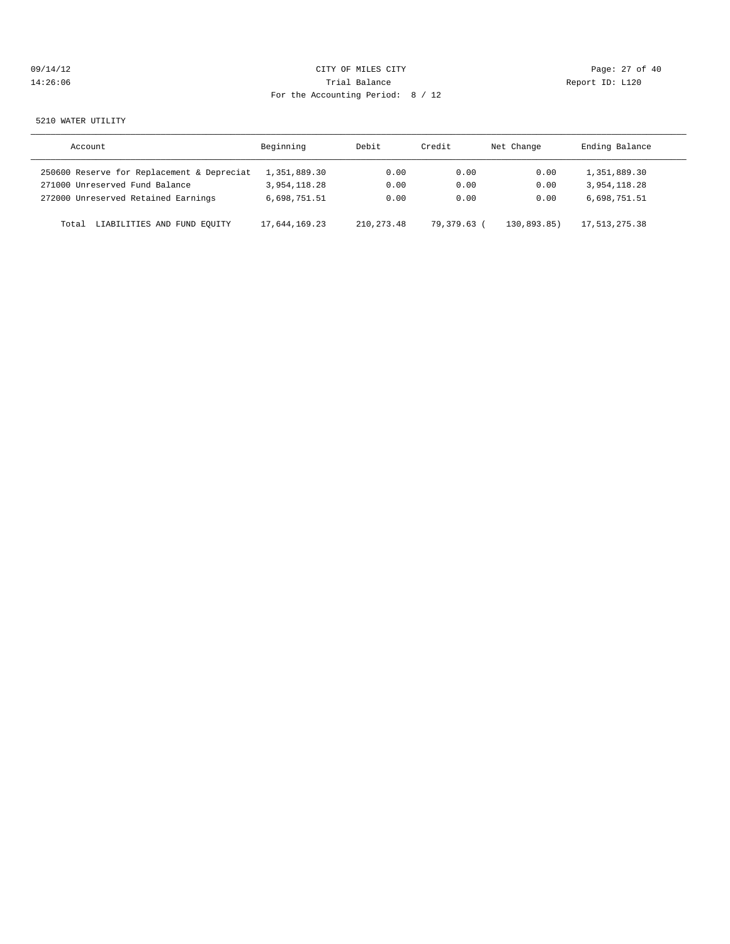| 09/14/12 |  |
|----------|--|
| 14:26:06 |  |

## CITY OF MILES CITY CONTROL CONTROL CONTROL CONTROL CONTROL PAGE: 27 of 40 Trial Balance **14:26:06 Trial Balance** Report ID: L120 For the Accounting Period: 8 / 12

#### 5210 WATER UTILITY

| Account                                    | Beginning     | Debit       | Credit      | Net Change | Ending Balance |
|--------------------------------------------|---------------|-------------|-------------|------------|----------------|
| 250600 Reserve for Replacement & Depreciat | 1,351,889.30  | 0.00        | 0.00        | 0.00       | 1,351,889.30   |
| 271000 Unreserved Fund Balance             | 3,954,118.28  | 0.00        | 0.00        | 0.00       | 3,954,118.28   |
| 272000 Unreserved Retained Earnings        | 6,698,751.51  | 0.00        | 0.00        | 0.00       | 6,698,751.51   |
| LIABILITIES AND FUND EQUITY<br>Total       | 17,644,169.23 | 210, 273.48 | 79,379.63 ( | 130.893.85 | 17,513,275.38  |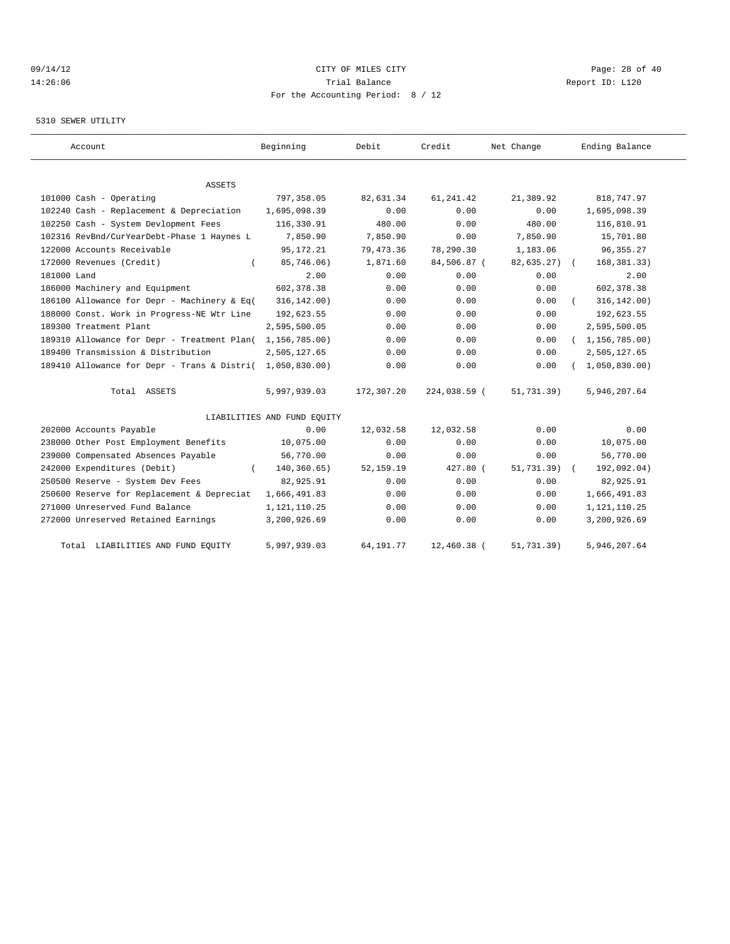## 09/14/12 Page: 28 of 40 14:26:06 Trial Balance Report ID: L120 For the Accounting Period: 8 / 12

#### 5310 SEWER UTILITY

| Account                                                   | Beginning                   | Debit       | Credit        | Net Change     | Ending Balance   |
|-----------------------------------------------------------|-----------------------------|-------------|---------------|----------------|------------------|
| <b>ASSETS</b>                                             |                             |             |               |                |                  |
| 101000 Cash - Operating                                   | 797,358.05                  | 82,631.34   | 61, 241.42    | 21,389.92      | 818,747.97       |
| 102240 Cash - Replacement & Depreciation                  | 1,695,098.39                | 0.00        | 0.00          | 0.00           | 1,695,098.39     |
| 102250 Cash - System Devlopment Fees                      | 116,330.91                  | 480.00      | 0.00          | 480.00         | 116,810.91       |
| 102316 RevBnd/CurYearDebt-Phase 1 Haynes L                | 7,850.90                    | 7,850.90    | 0.00          | 7,850.90       | 15,701.80        |
| 122000 Accounts Receivable                                | 95, 172. 21                 | 79,473.36   | 78,290.30     | 1,183.06       | 96, 355. 27      |
| 172000 Revenues (Credit)                                  | 85,746.06)                  | 1,871.60    | 84,506.87 (   | 82,635.27)     | 168, 381.33)     |
| 181000 Land                                               | 2.00                        | 0.00        | 0.00          | 0.00           | 2.00             |
| 186000 Machinery and Equipment                            | 602, 378.38                 | 0.00        | 0.00          | 0.00           | 602, 378.38      |
| 186100 Allowance for Depr - Machinery & Eq(               | 316, 142.00)                | 0.00        | 0.00          | 0.00           | 316, 142.00)     |
| 188000 Const. Work in Progress-NE Wtr Line                | 192,623.55                  | 0.00        | 0.00          | 0.00           | 192,623.55       |
| 189300 Treatment Plant                                    | 2,595,500.05                | 0.00        | 0.00          | 0.00           | 2,595,500.05     |
| 189310 Allowance for Depr - Treatment Plan(               | 1,156,785.00)               | 0.00        | 0.00          | 0.00           | (1, 156, 785.00) |
| 189400 Transmission & Distribution                        | 2,505,127.65                | 0.00        | 0.00          | 0.00           | 2,505,127.65     |
| 189410 Allowance for Depr - Trans & Distri( 1,050,830.00) |                             | 0.00        | 0.00          | 0.00           | 1,050,830.00     |
| Total ASSETS                                              | 5,997,939.03                | 172,307.20  | 224,038.59 (  | 51,731.39)     | 5,946,207.64     |
|                                                           | LIABILITIES AND FUND EQUITY |             |               |                |                  |
| 202000 Accounts Payable                                   | 0.00                        | 12,032.58   | 12,032.58     | 0.00           | 0.00             |
| 238000 Other Post Employment Benefits                     | 10,075.00                   | 0.00        | 0.00          | 0.00           | 10,075.00        |
| 239000 Compensated Absences Payable                       | 56,770.00                   | 0.00        | 0.00          | 0.00           | 56,770.00        |
| 242000 Expenditures (Debit)                               | 140,360.65)                 | 52, 159. 19 | 427.80 (      | $51, 731.39$ ( | 192,092.04)      |
| 250500 Reserve - System Dev Fees                          | 82,925.91                   | 0.00        | 0.00          | 0.00           | 82,925.91        |
| 250600 Reserve for Replacement & Depreciat                | 1,666,491.83                | 0.00        | 0.00          | 0.00           | 1,666,491.83     |
| 271000 Unreserved Fund Balance                            | 1,121,110.25                | 0.00        | 0.00          | 0.00           | 1, 121, 110.25   |
| 272000 Unreserved Retained Earnings                       | 3,200,926.69                | 0.00        | 0.00          | 0.00           | 3,200,926.69     |
| Total LIABILITIES AND FUND EQUITY                         | 5,997,939.03                | 64, 191.77  | $12,460.38$ ( | 51,731.39)     | 5,946,207.64     |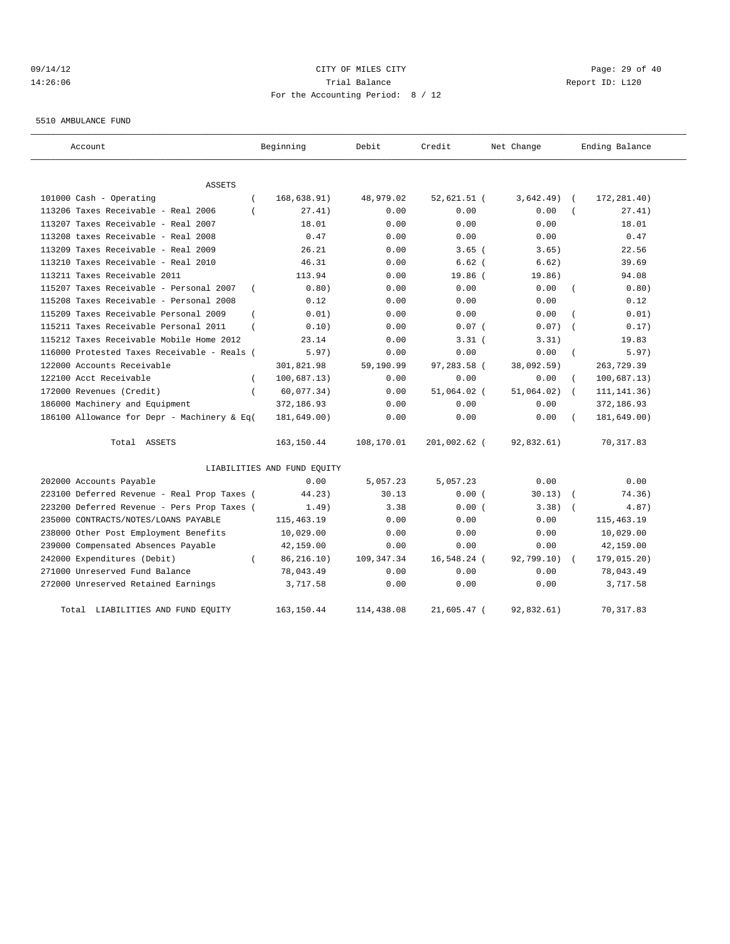## 09/14/12 Page: 29 of 40 14:26:06 Trial Balance Report ID: L120 For the Accounting Period: 8 / 12

5510 AMBULANCE FUND

| Account                                                 | Beginning                   | Debit       | Credit        | Net Change | Ending Balance              |
|---------------------------------------------------------|-----------------------------|-------------|---------------|------------|-----------------------------|
| <b>ASSETS</b>                                           |                             |             |               |            |                             |
| 101000 Cash - Operating<br>$\left($                     | 168,638.91)                 | 48,979.02   | $52,621.51$ ( | 3,642.49)  | 172, 281.40)<br>$\sqrt{ }$  |
| 113206 Taxes Receivable - Real 2006                     | 27.41)                      | 0.00        | 0.00          | 0.00       | 27.41)                      |
| 113207 Taxes Receivable - Real 2007                     | 18.01                       | 0.00        | 0.00          | 0.00       | 18.01                       |
| 113208 taxes Receivable - Real 2008                     | 0.47                        | 0.00        | 0.00          | 0.00       | 0.47                        |
| 113209 Taxes Receivable - Real 2009                     | 26.21                       | 0.00        | $3.65$ $($    | 3.65)      | 22.56                       |
| 113210 Taxes Receivable - Real 2010                     | 46.31                       | 0.00        | $6.62$ (      | 6.62)      | 39.69                       |
| 113211 Taxes Receivable 2011                            | 113.94                      | 0.00        | 19.86 (       | 19.86)     | 94.08                       |
| 115207 Taxes Receivable - Personal 2007<br>$\left($     | 0.80)                       | 0.00        | 0.00          | 0.00       | 0.80)<br>$\left($           |
| 115208 Taxes Receivable - Personal 2008                 | 0.12                        | 0.00        | 0.00          | 0.00       | 0.12                        |
| 115209 Taxes Receivable Personal 2009<br>$\overline{ }$ | 0.01)                       | 0.00        | 0.00          | 0.00       | 0.01)                       |
| 115211 Taxes Receivable Personal 2011<br>$\left($       | 0.10)                       | 0.00        | 0.07(         | 0.07)      | 0.17)<br>$\sqrt{ }$         |
| 115212 Taxes Receivable Mobile Home 2012                | 23.14                       | 0.00        | $3.31$ (      | 3.31)      | 19.83                       |
| 116000 Protested Taxes Receivable - Reals (             | 5.97)                       | 0.00        | 0.00          | 0.00       | 5.97)<br>$\left($           |
| 122000 Accounts Receivable                              | 301,821.98                  | 59,190.99   | 97,283.58 (   | 38,092.59) | 263,729.39                  |
| 122100 Acct Receivable<br>$\left($                      | 100,687.13)                 | 0.00        | 0.00          | 0.00       | 100, 687.13)                |
| 172000 Revenues (Credit)<br>$\left($                    | 60,077.34)                  | 0.00        | 51,064.02 (   | 51,064.02) | 111, 141. 36)<br>$\sqrt{2}$ |
| 186000 Machinery and Equipment                          | 372,186.93                  | 0.00        | 0.00          | 0.00       | 372,186.93                  |
| 186100 Allowance for Depr - Machinery & Eq(             | 181,649.00)                 | 0.00        | 0.00          | 0.00       | 181,649.00)                 |
| Total ASSETS                                            | 163, 150.44                 | 108,170.01  | 201,002.62 (  | 92,832.61) | 70, 317.83                  |
|                                                         | LIABILITIES AND FUND EQUITY |             |               |            |                             |
| 202000 Accounts Payable                                 | 0.00                        | 5,057.23    | 5,057.23      | 0.00       | 0.00                        |
| 223100 Deferred Revenue - Real Prop Taxes (             | 44.23)                      | 30.13       | 0.00(         | 30.13)     | 74.36)                      |
| 223200 Deferred Revenue - Pers Prop Taxes (             | 1.49)                       | 3.38        | 0.00(         | 3.38)      | 4.87)<br>$\sqrt{ }$         |
| 235000 CONTRACTS/NOTES/LOANS PAYABLE                    | 115,463.19                  | 0.00        | 0.00          | 0.00       | 115, 463.19                 |
| 238000 Other Post Employment Benefits                   | 10,029.00                   | 0.00        | 0.00          | 0.00       | 10,029.00                   |
| 239000 Compensated Absences Payable                     | 42,159.00                   | 0.00        | 0.00          | 0.00       | 42,159.00                   |
| 242000 Expenditures (Debit)<br>$\left($                 | 86, 216.10)                 | 109, 347.34 | 16,548.24 (   | 92,799.10) | 179,015.20)                 |
| 271000 Unreserved Fund Balance                          | 78,043.49                   | 0.00        | 0.00          | 0.00       | 78,043.49                   |
| 272000 Unreserved Retained Earnings                     | 3,717.58                    | 0.00        | 0.00          | 0.00       | 3,717.58                    |
| Total LIABILITIES AND FUND EQUITY                       | 163, 150.44                 | 114,438.08  | 21,605.47 (   | 92,832.61) | 70, 317.83                  |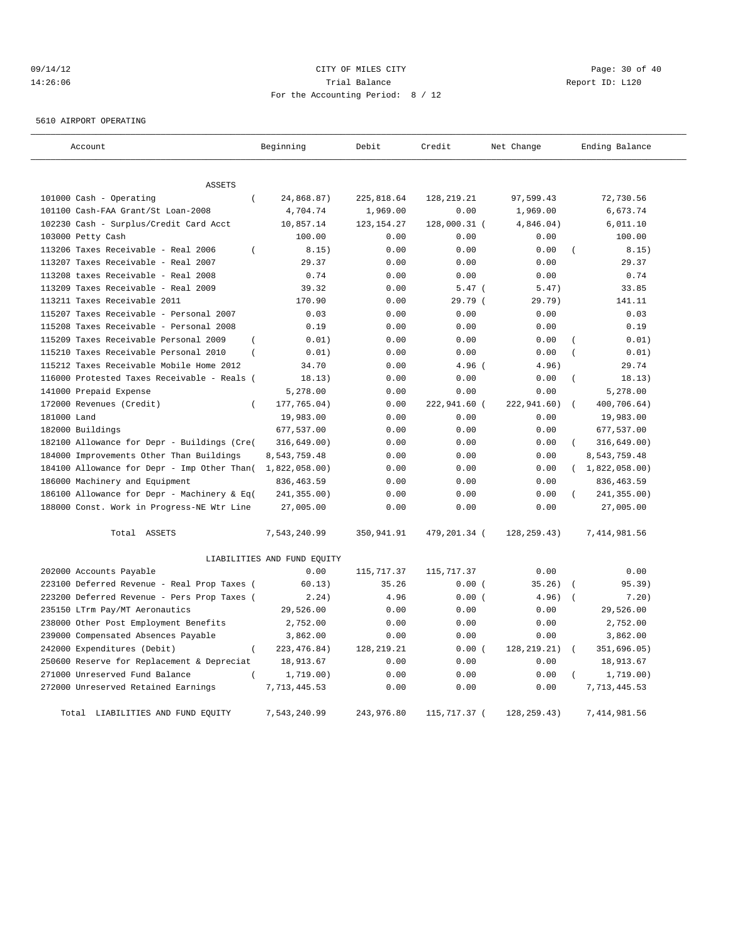## 09/14/12 Page: 30 of 40 14:26:06 Trial Balance Report ID: L120 For the Accounting Period: 8 / 12

5610 AIRPORT OPERATING

| Account                                                 | Beginning                   | Debit        | Credit       | Net Change    | Ending Balance          |
|---------------------------------------------------------|-----------------------------|--------------|--------------|---------------|-------------------------|
| ASSETS                                                  |                             |              |              |               |                         |
| 101000 Cash - Operating<br>$\left($                     | 24,868.87)                  | 225,818.64   | 128, 219. 21 | 97,599.43     | 72,730.56               |
| 101100 Cash-FAA Grant/St Loan-2008                      | 4,704.74                    | 1,969.00     | 0.00         | 1,969.00      | 6,673.74                |
| 102230 Cash - Surplus/Credit Card Acct                  | 10,857.14                   | 123, 154. 27 | 128,000.31 ( | 4,846.04)     | 6,011.10                |
| 103000 Petty Cash                                       | 100.00                      | 0.00         | 0.00         | 0.00          | 100.00                  |
| 113206 Taxes Receivable - Real 2006<br>$\left($         | 8.15)                       | 0.00         | 0.00         | 0.00          | 8.15)                   |
| 113207 Taxes Receivable - Real 2007                     | 29.37                       | 0.00         | 0.00         | 0.00          | 29.37                   |
| 113208 taxes Receivable - Real 2008                     | 0.74                        | 0.00         | 0.00         | 0.00          | 0.74                    |
| 113209 Taxes Receivable - Real 2009                     | 39.32                       | 0.00         | $5.47$ (     | 5.47)         | 33.85                   |
| 113211 Taxes Receivable 2011                            | 170.90                      | 0.00         | 29.79(       | 29.79)        | 141.11                  |
| 115207 Taxes Receivable - Personal 2007                 | 0.03                        | 0.00         | 0.00         | 0.00          | 0.03                    |
| 115208 Taxes Receivable - Personal 2008                 | 0.19                        | 0.00         | 0.00         | 0.00          | 0.19                    |
| 115209 Taxes Receivable Personal 2009<br>$\overline{ }$ | 0.01)                       | 0.00         | 0.00         | 0.00          | 0.01)                   |
| 115210 Taxes Receivable Personal 2010<br>$\overline{ }$ | 0.01)                       | 0.00         | 0.00         | 0.00          | 0.01)                   |
| 115212 Taxes Receivable Mobile Home 2012                | 34.70                       | 0.00         | $4.96$ (     | 4.96)         | 29.74                   |
| 116000 Protested Taxes Receivable - Reals (             | 18.13)                      | 0.00         | 0.00         | 0.00          | 18.13)                  |
| 141000 Prepaid Expense                                  | 5,278.00                    | 0.00         | 0.00         | 0.00          | 5,278.00                |
| 172000 Revenues (Credit)<br>$\overline{ }$              | 177,765.04)                 | 0.00         | 222,941.60 ( | 222,941.60)   | $\left($<br>400,706.64) |
| 181000 Land                                             | 19,983.00                   | 0.00         | 0.00         | 0.00          | 19,983.00               |
| 182000 Buildings                                        | 677,537.00                  | 0.00         | 0.00         | 0.00          | 677,537.00              |
|                                                         |                             | 0.00         | 0.00         | 0.00          | $\left($                |
| 182100 Allowance for Depr - Buildings (Cre(             | 316,649.00)                 |              |              |               | 316, 649.00)            |
| 184000 Improvements Other Than Buildings                | 8,543,759.48                | 0.00         | 0.00         | 0.00<br>0.00  | 8,543,759.48            |
| 184100 Allowance for Depr - Imp Other Than (            | 1,822,058.00)               | 0.00         | 0.00         |               | (1,822,058.00)          |
| 186000 Machinery and Equipment                          | 836, 463.59                 | 0.00         | 0.00         | 0.00          | 836, 463.59             |
| 186100 Allowance for Depr - Machinery & Eq(             | 241,355.00)                 | 0.00         | 0.00         | 0.00          | 241,355.00)             |
| 188000 Const. Work in Progress-NE Wtr Line              | 27,005.00                   | 0.00         | 0.00         | 0.00          | 27,005.00               |
| Total ASSETS                                            | 7,543,240.99                | 350,941.91   | 479,201.34 ( | 128, 259. 43) | 7,414,981.56            |
|                                                         | LIABILITIES AND FUND EQUITY |              |              |               |                         |
| 202000 Accounts Payable                                 | 0.00                        | 115,717.37   | 115, 717.37  | 0.00          | 0.00                    |
| 223100 Deferred Revenue - Real Prop Taxes (             | 60.13)                      | 35.26        | 0.00(        | 35.26)        | 95.39)                  |
| 223200 Deferred Revenue - Pers Prop Taxes (             | 2.24)                       | 4.96         | 0.00(        | 4.96)         | 7.20)                   |
| 235150 LTrm Pay/MT Aeronautics                          | 29,526.00                   | 0.00         | 0.00         | 0.00          | 29,526.00               |
| 238000 Other Post Employment Benefits                   | 2,752.00                    | 0.00         | 0.00         | 0.00          | 2,752.00                |
| 239000 Compensated Absences Payable                     | 3,862.00                    | 0.00         | 0.00         | 0.00          | 3,862.00                |
| 242000 Expenditures (Debit)<br>$\overline{(\ }$         | 223, 476.84)                | 128, 219. 21 | 0.00(        | 128, 219. 21) | 351,696.05)             |
| 250600 Reserve for Replacement & Depreciat              | 18,913.67                   | 0.00         | 0.00         | 0.00          | 18,913.67               |
| 271000 Unreserved Fund Balance                          | 1,719.00)                   | 0.00         | 0.00         | 0.00          | 1,719.00)               |
| 272000 Unreserved Retained Earnings                     | 7,713,445.53                | 0.00         | 0.00         | 0.00          | 7, 713, 445.53          |
| Total LIABILITIES AND FUND EQUITY                       | 7,543,240.99                | 243,976.80   | 115,717.37 ( | 128, 259. 43) | 7, 414, 981.56          |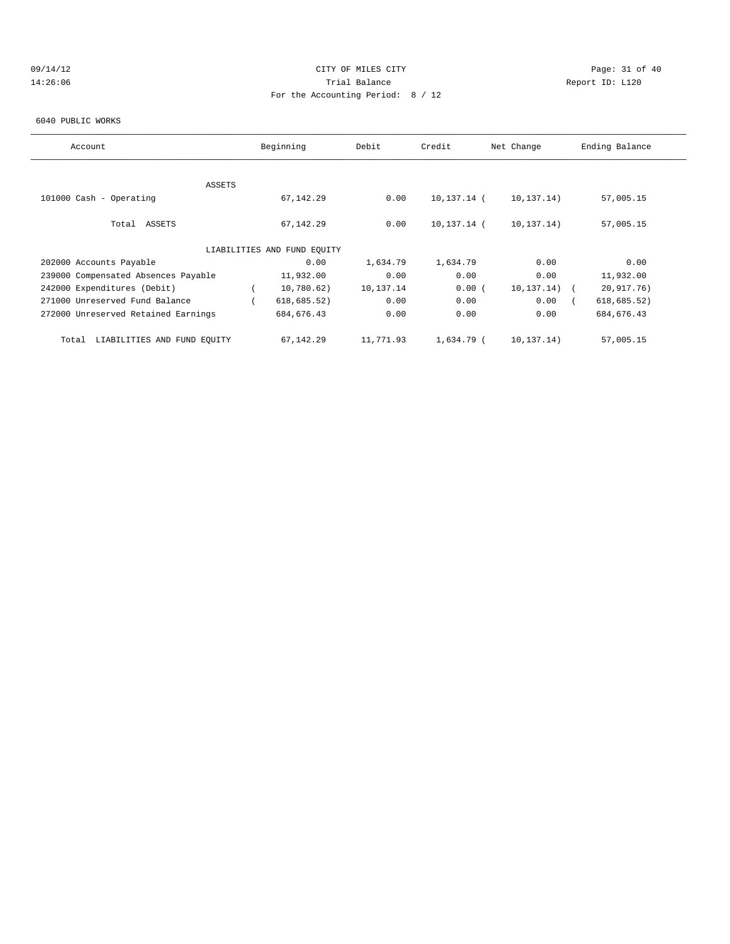## 09/14/12 Page: 31 of 40 14:26:06 Trial Balance Report ID: L120 For the Accounting Period: 8 / 12

#### 6040 PUBLIC WORKS

| Account                              | Beginning                   | Debit     | Credit      | Net Change   | Ending Balance |  |
|--------------------------------------|-----------------------------|-----------|-------------|--------------|----------------|--|
|                                      |                             |           |             |              |                |  |
| ASSETS                               |                             |           |             |              |                |  |
| 101000 Cash - Operating              | 67, 142.29                  | 0.00      | 10,137.14 ( | 10,137.14)   | 57,005.15      |  |
|                                      |                             |           |             |              |                |  |
| Total ASSETS                         | 67, 142.29                  | 0.00      | 10,137.14 ( | 10,137.14)   | 57,005.15      |  |
|                                      |                             |           |             |              |                |  |
|                                      | LIABILITIES AND FUND EQUITY |           |             |              |                |  |
| 202000 Accounts Payable              | 0.00                        | 1,634.79  | 1,634.79    | 0.00         | 0.00           |  |
| 239000 Compensated Absences Payable  | 11,932.00                   | 0.00      | 0.00        | 0.00         | 11,932.00      |  |
| 242000 Expenditures (Debit)          | 10,780.62)                  | 10,137.14 | 0.00(       | 10,137.14)   | 20,917.76)     |  |
| 271000 Unreserved Fund Balance       | 618, 685.52)                | 0.00      | 0.00        | 0.00         | 618, 685.52)   |  |
| 272000 Unreserved Retained Earnings  | 684, 676.43                 | 0.00      | 0.00        | 0.00         | 684, 676.43    |  |
|                                      |                             |           |             |              |                |  |
| LIABILITIES AND FUND EQUITY<br>Total | 67,142.29                   | 11,771.93 | 1,634.79 (  | 10, 137, 14) | 57,005.15      |  |
|                                      |                             |           |             |              |                |  |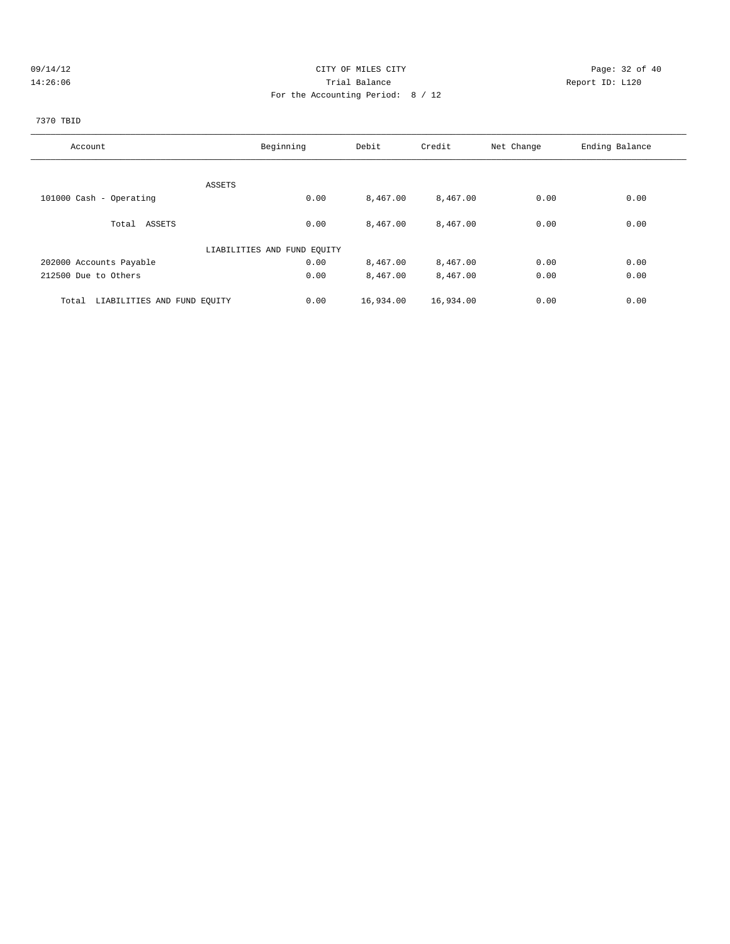### 09/14/12 Page: 32 of 40 14:26:06 Trial Balance Report ID: L120 For the Accounting Period: 8 / 12

## 7370 TBID

| Account                              | Beginning                   | Debit     | Credit    | Net Change | Ending Balance |
|--------------------------------------|-----------------------------|-----------|-----------|------------|----------------|
|                                      |                             |           |           |            |                |
|                                      | ASSETS                      |           |           |            |                |
| 101000 Cash - Operating              | 0.00                        | 8,467.00  | 8,467.00  | 0.00       | 0.00           |
| Total ASSETS                         | 0.00                        | 8,467.00  | 8,467.00  | 0.00       | 0.00           |
|                                      | LIABILITIES AND FUND EQUITY |           |           |            |                |
| 202000 Accounts Payable              | 0.00                        | 8,467.00  | 8,467.00  | 0.00       | 0.00           |
| 212500 Due to Others                 | 0.00                        | 8,467.00  | 8,467.00  | 0.00       | 0.00           |
| LIABILITIES AND FUND EQUITY<br>Total | 0.00                        | 16,934.00 | 16,934.00 | 0.00       | 0.00           |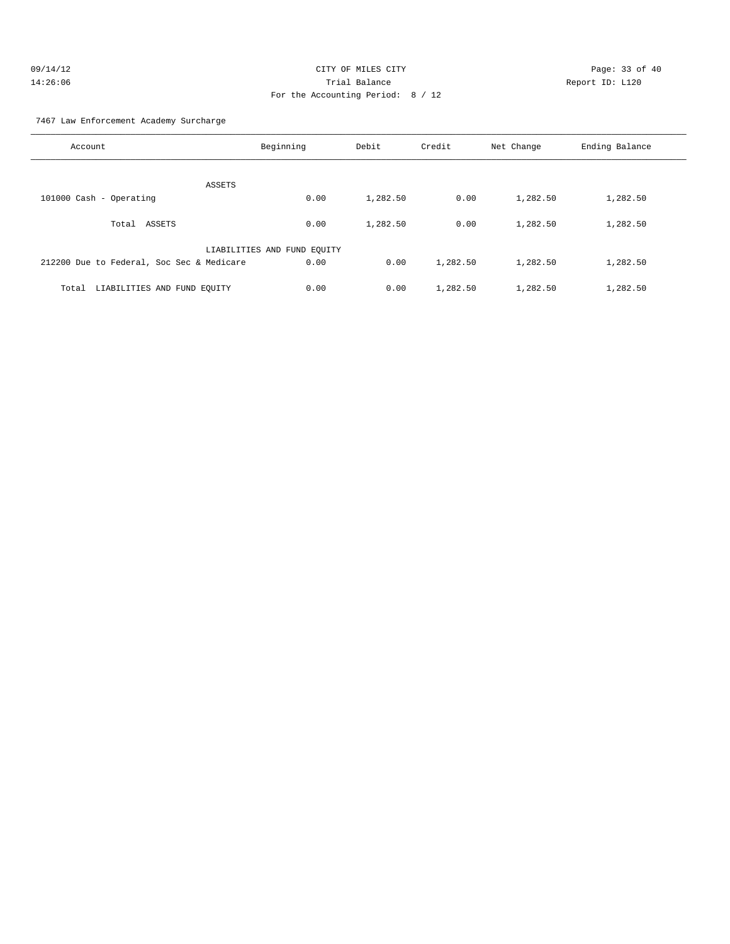| 09/14/12 | CITY OF MILES CITY                | Page: $33o$     |
|----------|-----------------------------------|-----------------|
| 14:26:06 | Trial Balance                     | Report ID: L120 |
|          | For the Accounting Period: 8 / 12 |                 |

Page: 33 of 40

7467 Law Enforcement Academy Surcharge

| Account                                   | Beginning                   | Debit    | Credit   | Net Change | Ending Balance |
|-------------------------------------------|-----------------------------|----------|----------|------------|----------------|
| ASSETS                                    |                             |          |          |            |                |
| 101000 Cash - Operating                   | 0.00                        | 1,282.50 | 0.00     | 1,282.50   | 1,282.50       |
| ASSETS<br>Total                           | 0.00                        | 1,282.50 | 0.00     | 1,282.50   | 1,282.50       |
|                                           | LIABILITIES AND FUND EQUITY |          |          |            |                |
| 212200 Due to Federal, Soc Sec & Medicare | 0.00                        | 0.00     | 1,282.50 | 1,282.50   | 1,282.50       |
| LIABILITIES AND FUND EQUITY<br>Total      | 0.00                        | 0.00     | 1,282.50 | 1,282.50   | 1,282.50       |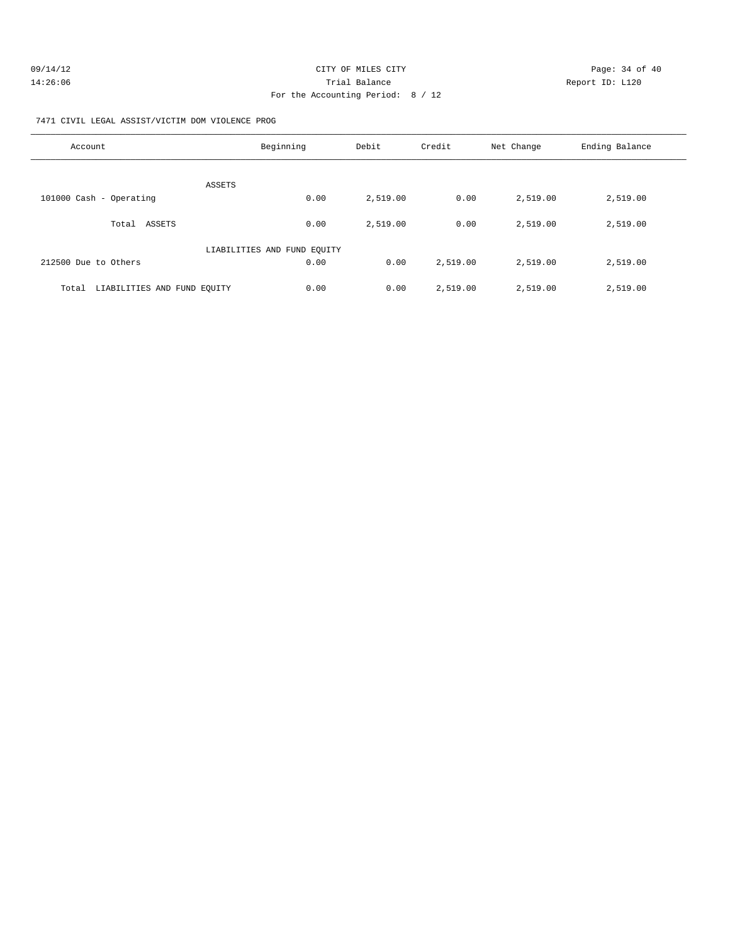| 09/14/12 | CITY OF MILES CITY                | Page: 34 of 40 |  |
|----------|-----------------------------------|----------------|--|
| 14:26:06 | Trial Balance<br>Report ID: L120  |                |  |
|          | For the Accounting Period: 8 / 12 |                |  |

7471 CIVIL LEGAL ASSIST/VICTIM DOM VIOLENCE PROG

| Account                              | Beginning                   | Debit    | Credit   | Net Change | Ending Balance |
|--------------------------------------|-----------------------------|----------|----------|------------|----------------|
| <b>ASSETS</b>                        |                             |          |          |            |                |
| 101000 Cash - Operating              | 0.00                        | 2,519.00 | 0.00     | 2,519.00   | 2,519.00       |
| ASSETS<br>Total                      | 0.00                        | 2,519.00 | 0.00     | 2,519.00   | 2,519.00       |
|                                      | LIABILITIES AND FUND EQUITY |          |          |            |                |
| 212500 Due to Others                 | 0.00                        | 0.00     | 2,519.00 | 2,519.00   | 2,519.00       |
| LIABILITIES AND FUND EOUITY<br>Total | 0.00                        | 0.00     | 2,519.00 | 2,519.00   | 2,519.00       |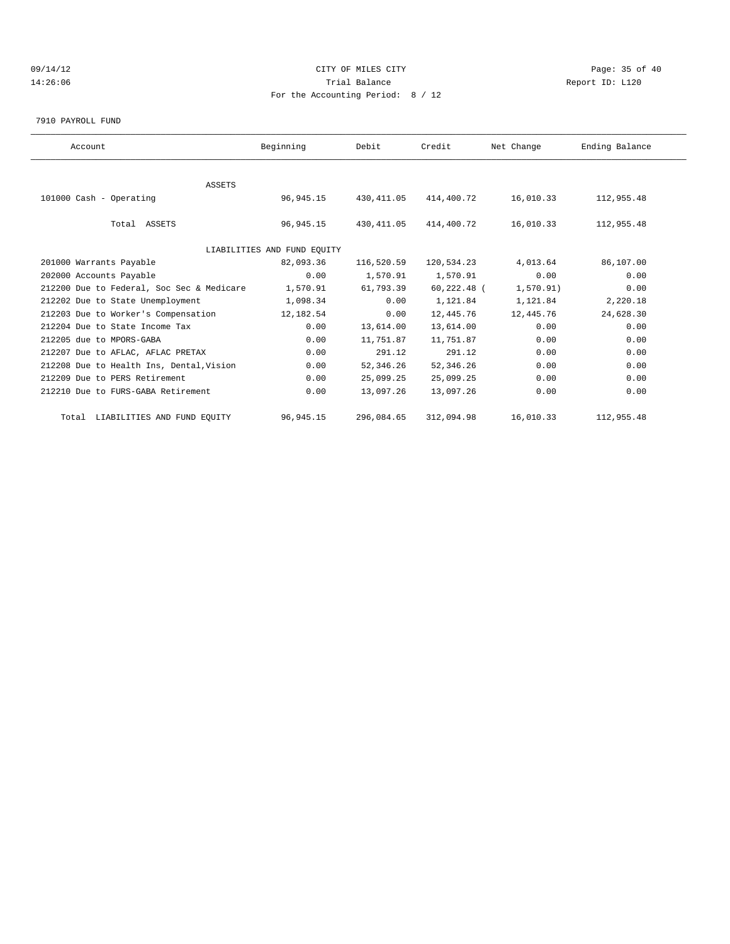### 09/14/12 Page: 35 of 40 14:26:06 Trial Balance Report ID: L120 For the Accounting Period: 8 / 12

7910 PAYROLL FUND

| Account                                   | Beginning                   | Debit       | Credit          | Net Change | Ending Balance |  |
|-------------------------------------------|-----------------------------|-------------|-----------------|------------|----------------|--|
|                                           |                             |             |                 |            |                |  |
| ASSETS                                    |                             |             |                 |            |                |  |
| 101000 Cash - Operating                   | 96,945.15                   | 430,411.05  | 414,400.72      | 16,010.33  | 112,955.48     |  |
|                                           |                             |             |                 |            |                |  |
| Total ASSETS                              | 96,945.15                   | 430, 411.05 | 414,400.72      | 16,010.33  | 112,955.48     |  |
|                                           |                             |             |                 |            |                |  |
|                                           | LIABILITIES AND FUND EOUITY |             |                 |            |                |  |
| 201000 Warrants Payable                   | 82,093.36                   | 116,520.59  | 120,534.23      | 4,013.64   | 86,107.00      |  |
| 202000 Accounts Payable                   | 0.00                        | 1,570.91    | 1,570.91        | 0.00       | 0.00           |  |
| 212200 Due to Federal, Soc Sec & Medicare | 1,570.91                    | 61,793.39   | $60, 222, 48$ ( | 1,570.91)  | 0.00           |  |
| 212202 Due to State Unemployment          | 1,098.34                    | 0.00        | 1,121.84        | 1,121.84   | 2,220.18       |  |
| 212203 Due to Worker's Compensation       | 12,182.54                   | 0.00        | 12,445.76       | 12,445.76  | 24,628.30      |  |
| 212204 Due to State Income Tax            | 0.00                        | 13,614.00   | 13,614.00       | 0.00       | 0.00           |  |
| 212205 due to MPORS-GABA                  | 0.00                        | 11,751.87   | 11,751.87       | 0.00       | 0.00           |  |
| 212207 Due to AFLAC, AFLAC PRETAX         | 0.00                        | 291.12      | 291.12          | 0.00       | 0.00           |  |
| 212208 Due to Health Ins, Dental, Vision  | 0.00                        | 52,346.26   | 52, 346.26      | 0.00       | 0.00           |  |
| 212209 Due to PERS Retirement             | 0.00                        | 25,099.25   | 25,099.25       | 0.00       | 0.00           |  |
| 212210 Due to FURS-GABA Retirement        | 0.00                        | 13,097.26   | 13,097.26       | 0.00       | 0.00           |  |
|                                           |                             |             |                 |            |                |  |
| Total LIABILITIES AND FUND EQUITY         | 96, 945. 15                 | 296,084.65  | 312,094.98      | 16,010.33  | 112,955.48     |  |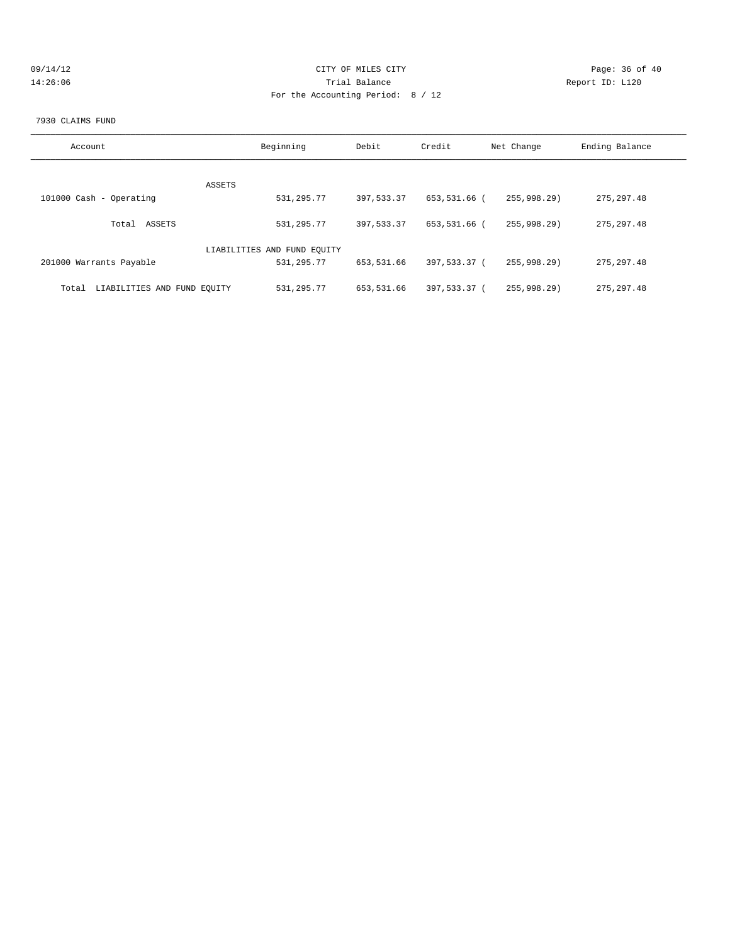| 09/14/12 | CITY OF MILES CITY                | Page: 36 of 40  |
|----------|-----------------------------------|-----------------|
| 14:26:06 | Trial Balance                     | Report ID: L120 |
|          | For the Accounting Period: 8 / 12 |                 |
|          |                                   |                 |

#### 7930 CLAIMS FUND

| Account                              | Beginning                   | Debit      | Credit       | Net Change  | Ending Balance |
|--------------------------------------|-----------------------------|------------|--------------|-------------|----------------|
|                                      |                             |            |              |             |                |
| ASSETS                               |                             |            |              |             |                |
| 101000 Cash - Operating              | 531,295.77                  | 397,533,37 | 653,531.66 ( | 255.998.29  | 275, 297.48    |
| ASSETS<br>Total                      | 531, 295.77                 | 397,533,37 | 653,531.66 ( | 255.998.29  | 275, 297.48    |
|                                      | LIABILITIES AND FUND EQUITY |            |              |             |                |
| 201000 Warrants Payable              | 531,295.77                  | 653,531.66 | 397,533.37 ( | 255.998.29  | 275, 297.48    |
| LIABILITIES AND FUND EQUITY<br>Total | 531, 295.77                 | 653,531.66 | 397,533.37 ( | 255,998.29) | 275, 297.48    |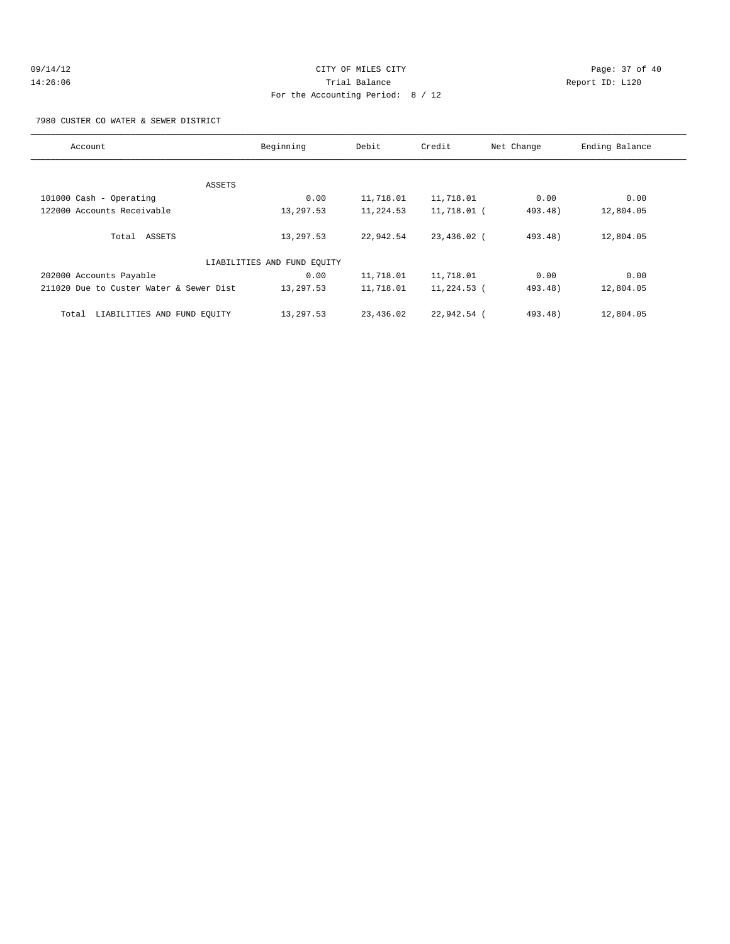## 09/14/12 Page: 37 of 40 14:26:06 Trial Balance Report ID: L120 For the Accounting Period: 8 / 12

7980 CUSTER CO WATER & SEWER DISTRICT

| Account                                 | Beginning | Debit     | Credit        | Net Change | Ending Balance |  |  |
|-----------------------------------------|-----------|-----------|---------------|------------|----------------|--|--|
|                                         |           |           |               |            |                |  |  |
|                                         | ASSETS    |           |               |            |                |  |  |
| 101000 Cash - Operating                 | 0.00      | 11,718.01 | 11,718.01     | 0.00       | 0.00           |  |  |
| 122000 Accounts Receivable              | 13,297.53 | 11,224.53 | 11,718.01 (   | 493.48)    | 12,804.05      |  |  |
|                                         |           |           |               |            |                |  |  |
| Total ASSETS                            | 13,297.53 | 22,942.54 | 23,436.02 (   | $493.48$ ) | 12,804.05      |  |  |
|                                         |           |           |               |            |                |  |  |
| LIABILITIES AND FUND EOUITY             |           |           |               |            |                |  |  |
| 202000 Accounts Payable                 | 0.00      | 11,718.01 | 11,718.01     | 0.00       | 0.00           |  |  |
| 211020 Due to Custer Water & Sewer Dist | 13,297.53 | 11,718.01 | $11,224.53$ ( | 493.48)    | 12,804.05      |  |  |
|                                         |           |           |               |            |                |  |  |
| LIABILITIES AND FUND EOUITY<br>Total    | 13,297.53 | 23,436.02 | 22,942.54 (   | $493.48$ ) | 12,804.05      |  |  |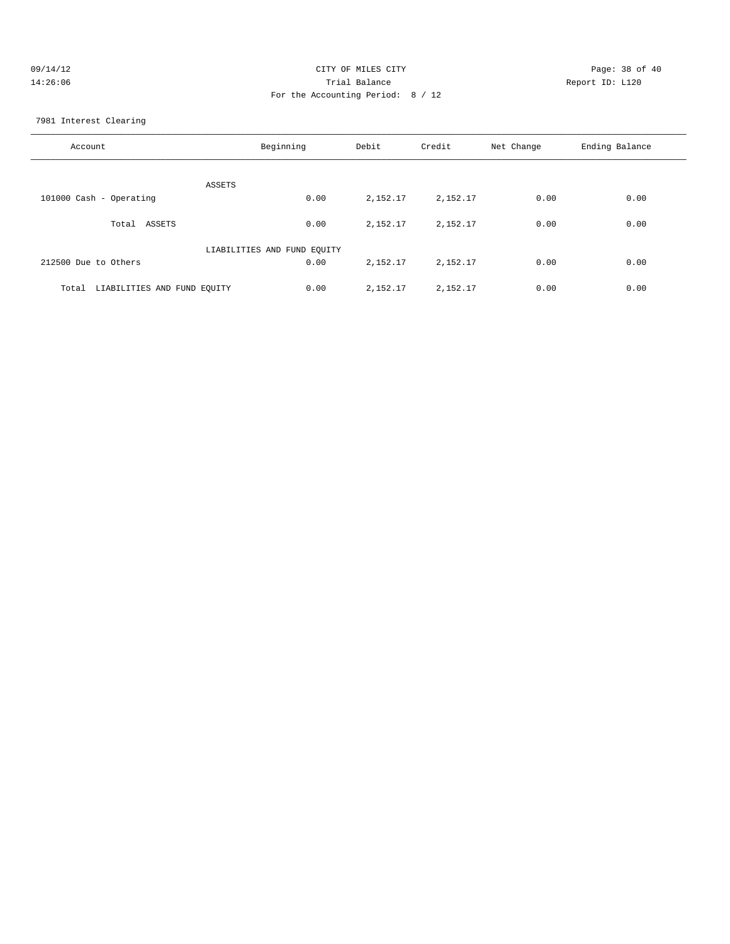| 09/14/12 | CITY OF MILES CITY                | Page: 38 of 40  |
|----------|-----------------------------------|-----------------|
| 14:26:06 | Trial Balance                     | Report ID: L120 |
|          | For the Accounting Period: 8 / 12 |                 |

7981 Interest Clearing

| Account                              | Beginning | Debit    | Credit   | Net Change | Ending Balance |
|--------------------------------------|-----------|----------|----------|------------|----------------|
| ASSETS                               |           |          |          |            |                |
| 101000 Cash - Operating              | 0.00      | 2,152.17 | 2,152.17 | 0.00       | 0.00           |
| Total<br>ASSETS                      | 0.00      | 2,152.17 | 2,152.17 | 0.00       | 0.00           |
| LIABILITIES AND FUND EQUITY          |           |          |          |            |                |
| 212500 Due to Others                 | 0.00      | 2,152.17 | 2,152.17 | 0.00       | 0.00           |
| LIABILITIES AND FUND EQUITY<br>Total | 0.00      | 2,152.17 | 2,152.17 | 0.00       | 0.00           |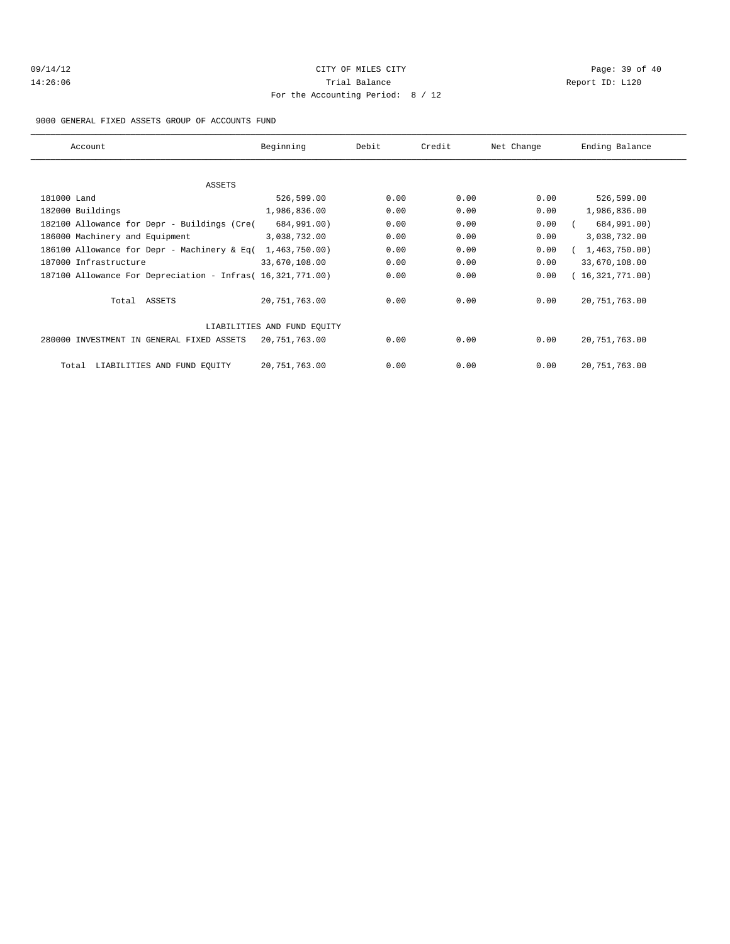## 09/14/12 Page: 39 of 40 14:26:06 Trial Balance Report ID: L120 For the Accounting Period: 8 / 12

9000 GENERAL FIXED ASSETS GROUP OF ACCOUNTS FUND

| Account                                                    | Beginning     | Debit | Credit | Net Change | Ending Balance  |  |
|------------------------------------------------------------|---------------|-------|--------|------------|-----------------|--|
|                                                            |               |       |        |            |                 |  |
| ASSETS                                                     |               |       |        |            |                 |  |
| 181000 Land                                                | 526,599.00    | 0.00  | 0.00   | 0.00       | 526,599.00      |  |
| 182000 Buildings                                           | 1,986,836.00  | 0.00  | 0.00   | 0.00       | 1,986,836.00    |  |
| 182100 Allowance for Depr - Buildings (Cre(                | 684,991.00)   | 0.00  | 0.00   | 0.00       | 684,991.00)     |  |
| 186000 Machinery and Equipment                             | 3,038,732.00  | 0.00  | 0.00   | 0.00       | 3,038,732.00    |  |
| 186100 Allowance for Depr - Machinery & Eq(                | 1,463,750.00) | 0.00  | 0.00   | 0.00       | 1,463,750.00    |  |
| 187000 Infrastructure                                      | 33,670,108.00 | 0.00  | 0.00   | 0.00       | 33,670,108.00   |  |
| 187100 Allowance For Depreciation - Infras( 16,321,771.00) |               | 0.00  | 0.00   | 0.00       | 16,321,771.00   |  |
| Total ASSETS                                               | 20,751,763.00 | 0.00  | 0.00   | 0.00       | 20, 751, 763.00 |  |
| LIABILITIES AND FUND EOUITY                                |               |       |        |            |                 |  |
| 280000 INVESTMENT IN GENERAL FIXED ASSETS                  | 20,751,763.00 | 0.00  | 0.00   | 0.00       | 20, 751, 763.00 |  |
| LIABILITIES AND FUND EQUITY<br>Total                       | 20,751,763.00 | 0.00  | 0.00   | 0.00       | 20, 751, 763.00 |  |